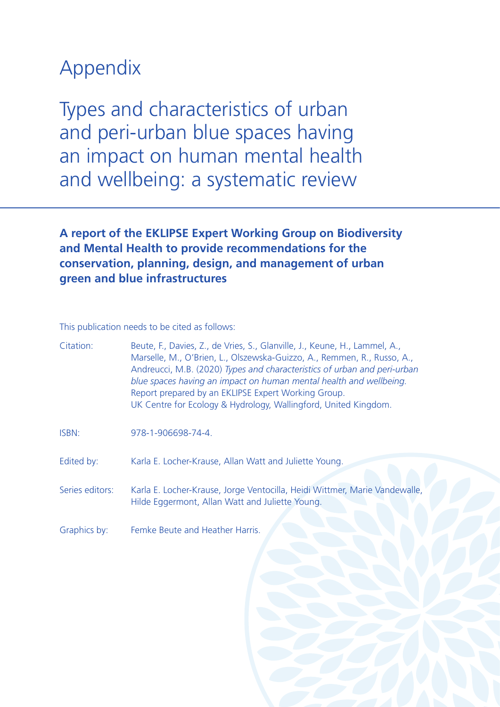## Appendix

Types and characteristics of urban and peri-urban blue spaces having an impact on human mental health and wellbeing: a systematic review

**A report of the EKLIPSE Expert Working Group on Biodiversity and Mental Health to provide recommendations for the conservation, planning, design, and management of urban green and blue infrastructures** 

This publication needs to be cited as follows:

| Citation:       | Beute, F., Davies, Z., de Vries, S., Glanville, J., Keune, H., Lammel, A.,<br>Marselle, M., O'Brien, L., Olszewska-Guizzo, A., Remmen, R., Russo, A.,<br>Andreucci, M.B. (2020) Types and characteristics of urban and peri-urban<br>blue spaces having an impact on human mental health and wellbeing.<br>Report prepared by an EKLIPSE Expert Working Group.<br>UK Centre for Ecology & Hydrology, Wallingford, United Kingdom. |
|-----------------|-----------------------------------------------------------------------------------------------------------------------------------------------------------------------------------------------------------------------------------------------------------------------------------------------------------------------------------------------------------------------------------------------------------------------------------|
| <b>ISBN:</b>    | 978-1-906698-74-4.                                                                                                                                                                                                                                                                                                                                                                                                                |
| Edited by:      | Karla E. Locher-Krause, Allan Watt and Juliette Young.                                                                                                                                                                                                                                                                                                                                                                            |
| Series editors: | Karla E. Locher-Krause, Jorge Ventocilla, Heidi Wittmer, Marie Vandewalle,<br>Hilde Eggermont, Allan Watt and Juliette Young.                                                                                                                                                                                                                                                                                                     |

Graphics by: Femke Beute and Heather Harris.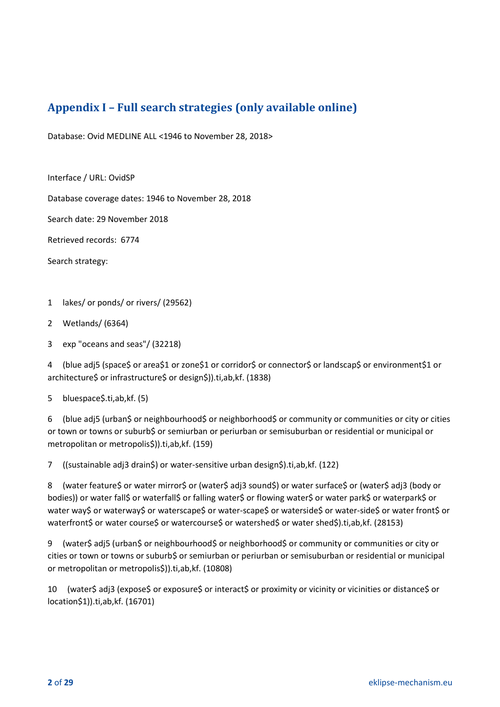## **Appendix I – Full search strategies (only available online)**

Database: Ovid MEDLINE ALL <1946 to November 28, 2018>

Interface / URL: OvidSP

Database coverage dates: 1946 to November 28, 2018

Search date: 29 November 2018

Retrieved records: 6774

Search strategy:

1 lakes/ or ponds/ or rivers/ (29562)

- 2 Wetlands/ (6364)
- 3 exp "oceans and seas"/ (32218)

4 (blue adj5 (space\$ or area\$1 or zone\$1 or corridor\$ or connector\$ or landscap\$ or environment\$1 or architecture\$ or infrastructure\$ or design\$)).ti,ab,kf. (1838)

5 bluespace\$.ti,ab,kf. (5)

6 (blue adj5 (urban\$ or neighbourhood\$ or neighborhood\$ or community or communities or city or cities or town or towns or suburb\$ or semiurban or periurban or semisuburban or residential or municipal or metropolitan or metropolis\$)).ti,ab,kf. (159)

7 ((sustainable adj3 drain\$) or water-sensitive urban design\$).ti,ab,kf. (122)

8 (water feature\$ or water mirror\$ or (water\$ adj3 sound\$) or water surface\$ or (water\$ adj3 (body or bodies)) or water fall\$ or waterfall\$ or falling water\$ or flowing water\$ or water park\$ or waterpark\$ or water way\$ or waterway\$ or waterscape\$ or water-scape\$ or waterside\$ or water-side\$ or water front\$ or waterfront\$ or water course\$ or watercourse\$ or watershed\$ or water shed\$).ti,ab,kf. (28153)

9 (water\$ adj5 (urban\$ or neighbourhood\$ or neighborhood\$ or community or communities or city or cities or town or towns or suburb\$ or semiurban or periurban or semisuburban or residential or municipal or metropolitan or metropolis\$)).ti,ab,kf. (10808)

10 (water\$ adj3 (expose\$ or exposure\$ or interact\$ or proximity or vicinity or vicinities or distance\$ or location\$1)).ti,ab,kf. (16701)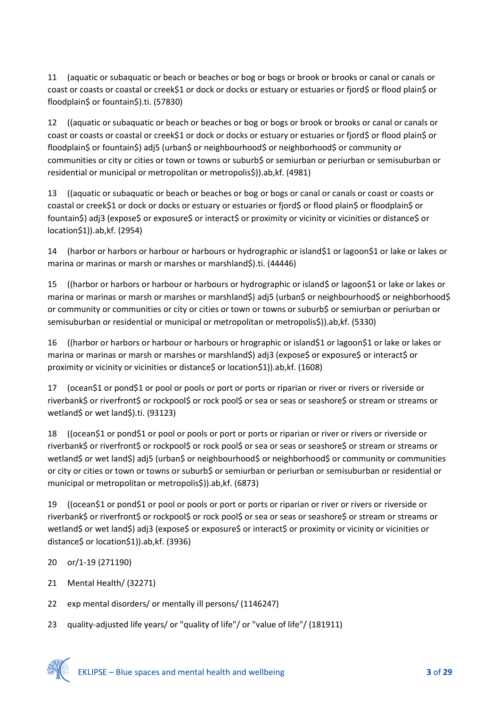11 (aquatic or subaquatic or beach or beaches or bog or bogs or brook or brooks or canal or canals or coast or coasts or coastal or creek\$1 or dock or docks or estuary or estuaries or fjord\$ or flood plain\$ or floodplain\$ or fountain\$).ti. (57830)

12 ((aquatic or subaquatic or beach or beaches or bog or bogs or brook or brooks or canal or canals or coast or coasts or coastal or creek\$1 or dock or docks or estuary or estuaries or fjord\$ or flood plain\$ or floodplain\$ or fountain\$) adj5 (urban\$ or neighbourhood\$ or neighborhood\$ or community or communities or city or cities or town or towns or suburb\$ or semiurban or periurban or semisuburban or residential or municipal or metropolitan or metropolis\$)).ab,kf. (4981)

13 ((aquatic or subaquatic or beach or beaches or bog or bogs or canal or canals or coast or coasts or coastal or creek\$1 or dock or docks or estuary or estuaries or fjord\$ or flood plain\$ or floodplain\$ or fountain\$) adj3 (expose\$ or exposure\$ or interact\$ or proximity or vicinity or vicinities or distance\$ or location\$1)).ab,kf. (2954)

14 (harbor or harbors or harbour or harbours or hydrographic or island\$1 or lagoon\$1 or lake or lakes or marina or marinas or marsh or marshes or marshland\$).ti. (44446)

15 ((harbor or harbors or harbour or harbours or hydrographic or island\$ or lagoon\$1 or lake or lakes or marina or marinas or marsh or marshes or marshland\$) adj5 (urban\$ or neighbourhood\$ or neighborhood\$ or community or communities or city or cities or town or towns or suburb\$ or semiurban or periurban or semisuburban or residential or municipal or metropolitan or metropolis\$)).ab,kf. (5330)

16 ((harbor or harbors or harbour or harbours or hrographic or island\$1 or lagoon\$1 or lake or lakes or marina or marinas or marsh or marshes or marshland\$) adj3 (expose\$ or exposure\$ or interact\$ or proximity or vicinity or vicinities or distance\$ or location\$1)).ab,kf. (1608)

17 (ocean\$1 or pond\$1 or pool or pools or port or ports or riparian or river or rivers or riverside or riverbank\$ or riverfront\$ or rockpool\$ or rock pool\$ or sea or seas or seashore\$ or stream or streams or wetland\$ or wet land\$).ti. (93123)

18 ((ocean\$1 or pond\$1 or pool or pools or port or ports or riparian or river or rivers or riverside or riverbank\$ or riverfront\$ or rockpool\$ or rock pool\$ or sea or seas or seashore\$ or stream or streams or wetland\$ or wet land\$) adj5 (urban\$ or neighbourhood\$ or neighborhood\$ or community or communities or city or cities or town or towns or suburb\$ or semiurban or periurban or semisuburban or residential or municipal or metropolitan or metropolis\$)).ab,kf. (6873)

19 ((ocean\$1 or pond\$1 or pool or pools or port or ports or riparian or river or rivers or riverside or riverbank\$ or riverfront\$ or rockpool\$ or rock pool\$ or sea or seas or seashore\$ or stream or streams or wetland\$ or wet land\$) adj3 (expose\$ or exposure\$ or interact\$ or proximity or vicinity or vicinities or distance\$ or location\$1)).ab,kf. (3936)

20 or/1-19 (271190)

- 21 Mental Health/ (32271)
- 22 exp mental disorders/ or mentally ill persons/ (1146247)
- 23 quality-adjusted life years/ or "quality of life"/ or "value of life"/ (181911)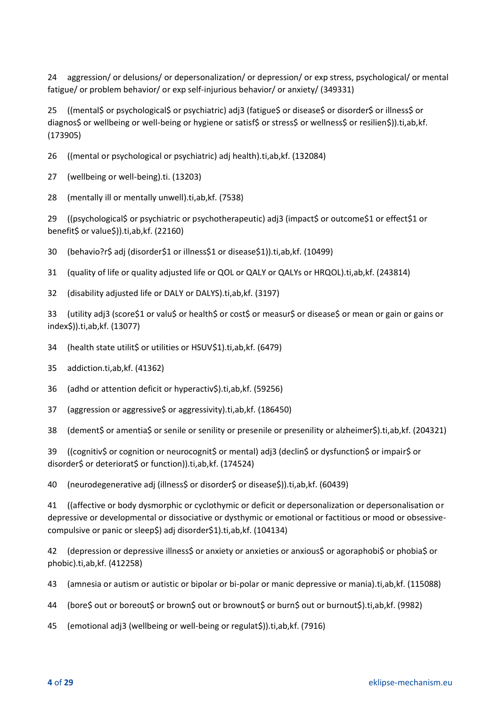24 aggression/ or delusions/ or depersonalization/ or depression/ or exp stress, psychological/ or mental fatigue/ or problem behavior/ or exp self-injurious behavior/ or anxiety/ (349331)

25 ((mental\$ or psychological\$ or psychiatric) adj3 (fatigue\$ or disease\$ or disorder\$ or illness\$ or diagnos\$ or wellbeing or well-being or hygiene or satisf\$ or stress\$ or wellness\$ or resilien\$)).ti,ab,kf. (173905)

26 ((mental or psychological or psychiatric) adj health).ti,ab,kf. (132084)

27 (wellbeing or well-being).ti. (13203)

28 (mentally ill or mentally unwell).ti,ab,kf. (7538)

29 ((psychological\$ or psychiatric or psychotherapeutic) adj3 (impact\$ or outcome\$1 or effect\$1 or benefit\$ or value\$)).ti,ab,kf. (22160)

30 (behavio?r\$ adj (disorder\$1 or illness\$1 or disease\$1)).ti,ab,kf. (10499)

31 (quality of life or quality adjusted life or QOL or QALY or QALYs or HRQOL).ti,ab,kf. (243814)

32 (disability adjusted life or DALY or DALYS).ti,ab,kf. (3197)

33 (utility adj3 (score\$1 or valu\$ or health\$ or cost\$ or measur\$ or disease\$ or mean or gain or gains or index\$)).ti,ab,kf. (13077)

34 (health state utilit\$ or utilities or HSUV\$1).ti,ab,kf. (6479)

35 addiction.ti,ab,kf. (41362)

36 (adhd or attention deficit or hyperactiv\$).ti,ab,kf. (59256)

37 (aggression or aggressive\$ or aggressivity).ti,ab,kf. (186450)

38 (dement\$ or amentia\$ or senile or senility or presenile or presenility or alzheimer\$).ti,ab,kf. (204321)

39 ((cognitiv\$ or cognition or neurocognit\$ or mental) adj3 (declin\$ or dysfunction\$ or impair\$ or disorder\$ or deteriorat\$ or function)).ti,ab,kf. (174524)

40 (neurodegenerative adj (illness\$ or disorder\$ or disease\$)).ti,ab,kf. (60439)

41 ((affective or body dysmorphic or cyclothymic or deficit or depersonalization or depersonalisation or depressive or developmental or dissociative or dysthymic or emotional or factitious or mood or obsessivecompulsive or panic or sleep\$) adj disorder\$1).ti,ab,kf. (104134)

42 (depression or depressive illness\$ or anxiety or anxieties or anxious\$ or agoraphobi\$ or phobia\$ or phobic).ti,ab,kf. (412258)

43 (amnesia or autism or autistic or bipolar or bi-polar or manic depressive or mania).ti,ab,kf. (115088)

44 (bore\$ out or boreout\$ or brown\$ out or brownout\$ or burn\$ out or burnout\$).ti,ab,kf. (9982)

45 (emotional adj3 (wellbeing or well-being or regulat\$)).ti,ab,kf. (7916)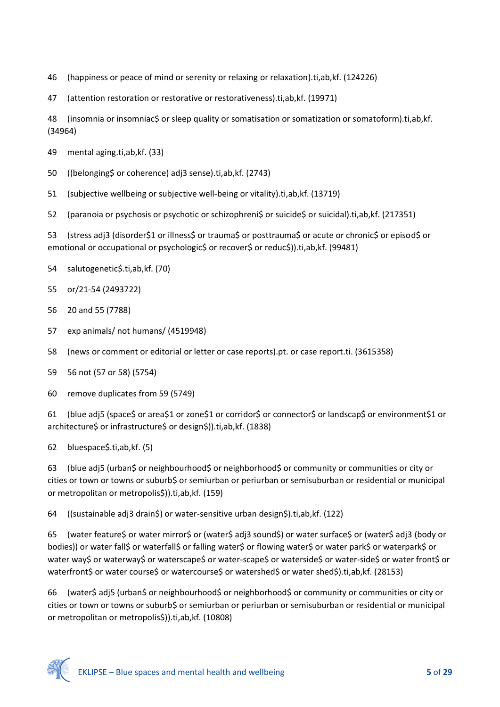46 (happiness or peace of mind or serenity or relaxing or relaxation).ti,ab,kf. (124226)

47 (attention restoration or restorative or restorativeness).ti,ab,kf. (19971)

48 (insomnia or insomniac\$ or sleep quality or somatisation or somatization or somatoform).ti,ab,kf. (34964)

49 mental aging.ti,ab,kf. (33)

50 ((belonging\$ or coherence) adj3 sense).ti,ab,kf. (2743)

51 (subjective wellbeing or subjective well-being or vitality).ti,ab,kf. (13719)

52 (paranoia or psychosis or psychotic or schizophreni\$ or suicide\$ or suicidal).ti,ab,kf. (217351)

53 (stress adj3 (disorder\$1 or illness\$ or trauma\$ or posttrauma\$ or acute or chronic\$ or episod\$ or emotional or occupational or psychologic\$ or recover\$ or reduc\$)).ti,ab,kf. (99481)

- 54 salutogenetic\$.ti,ab,kf. (70)
- 55 or/21-54 (2493722)
- 56 20 and 55 (7788)
- 57 exp animals/ not humans/ (4519948)
- 58 (news or comment or editorial or letter or case reports).pt. or case report.ti. (3615358)
- 59 56 not (57 or 58) (5754)
- 60 remove duplicates from 59 (5749)

61 (blue adj5 (space\$ or area\$1 or zone\$1 or corridor\$ or connector\$ or landscap\$ or environment\$1 or architecture\$ or infrastructure\$ or design\$)).ti,ab,kf. (1838)

62 bluespace\$.ti,ab,kf. (5)

63 (blue adj5 (urban\$ or neighbourhood\$ or neighborhood\$ or community or communities or city or cities or town or towns or suburb\$ or semiurban or periurban or semisuburban or residential or municipal or metropolitan or metropolis\$)).ti,ab,kf. (159)

64 ((sustainable adj3 drain\$) or water-sensitive urban design\$).ti,ab,kf. (122)

65 (water feature\$ or water mirror\$ or (water\$ adj3 sound\$) or water surface\$ or (water\$ adj3 (body or bodies)) or water fall\$ or waterfall\$ or falling water\$ or flowing water\$ or water park\$ or waterpark\$ or water way\$ or waterway\$ or waterscape\$ or water-scape\$ or waterside\$ or water-side\$ or water front\$ or waterfront\$ or water course\$ or watercourse\$ or watershed\$ or water shed\$).ti,ab,kf. (28153)

66 (water\$ adj5 (urban\$ or neighbourhood\$ or neighborhood\$ or community or communities or city or cities or town or towns or suburb\$ or semiurban or periurban or semisuburban or residential or municipal or metropolitan or metropolis\$)).ti,ab,kf. (10808)

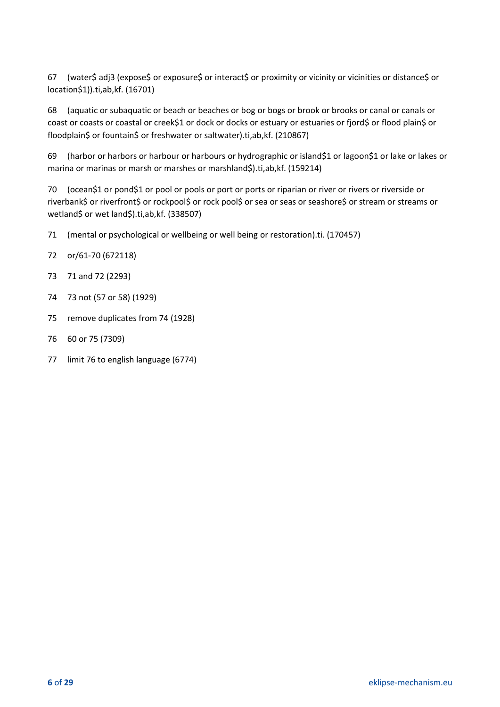67 (water\$ adj3 (expose\$ or exposure\$ or interact\$ or proximity or vicinity or vicinities or distance\$ or location\$1)).ti,ab,kf. (16701)

68 (aquatic or subaquatic or beach or beaches or bog or bogs or brook or brooks or canal or canals or coast or coasts or coastal or creek\$1 or dock or docks or estuary or estuaries or fjord\$ or flood plain\$ or floodplain\$ or fountain\$ or freshwater or saltwater).ti,ab,kf. (210867)

69 (harbor or harbors or harbour or harbours or hydrographic or island\$1 or lagoon\$1 or lake or lakes or marina or marinas or marsh or marshes or marshland\$).ti,ab,kf. (159214)

70 (ocean\$1 or pond\$1 or pool or pools or port or ports or riparian or river or rivers or riverside or riverbank\$ or riverfront\$ or rockpool\$ or rock pool\$ or sea or seas or seashore\$ or stream or streams or wetland\$ or wet land\$).ti,ab,kf. (338507)

- 71 (mental or psychological or wellbeing or well being or restoration).ti. (170457)
- 72 or/61-70 (672118)
- 73 71 and 72 (2293)
- 74 73 not (57 or 58) (1929)
- 75 remove duplicates from 74 (1928)
- 76 60 or 75 (7309)
- 77 limit 76 to english language (6774)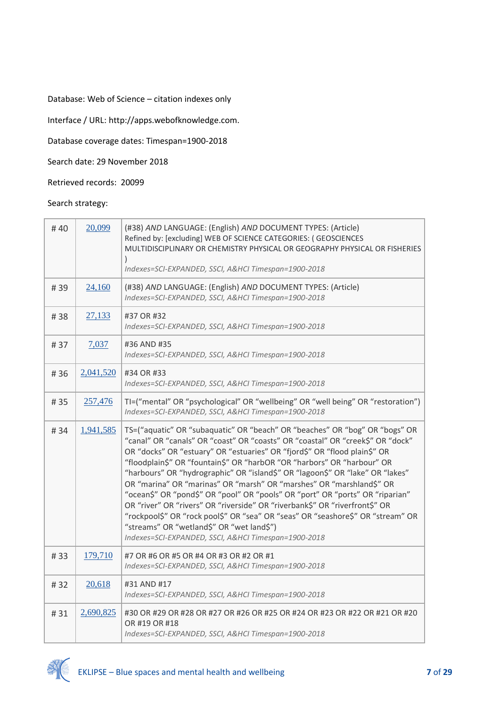## Database: Web of Science – citation indexes only

Interface / URL: http://apps.webofknowledge.com.

Database coverage dates: Timespan=1900-2018

Search date: 29 November 2018

Retrieved records: 20099

Search strategy:

| #40 | 20,099    | (#38) AND LANGUAGE: (English) AND DOCUMENT TYPES: (Article)<br>Refined by: [excluding] WEB OF SCIENCE CATEGORIES: (GEOSCIENCES<br>MULTIDISCIPLINARY OR CHEMISTRY PHYSICAL OR GEOGRAPHY PHYSICAL OR FISHERIES<br>$\mathcal{L}$<br>Indexes=SCI-EXPANDED, SSCI, A&HCI Timespan=1900-2018                                                                                                                                                                                                                                                                                                                                                                                                                                                                                                                                                  |  |
|-----|-----------|----------------------------------------------------------------------------------------------------------------------------------------------------------------------------------------------------------------------------------------------------------------------------------------------------------------------------------------------------------------------------------------------------------------------------------------------------------------------------------------------------------------------------------------------------------------------------------------------------------------------------------------------------------------------------------------------------------------------------------------------------------------------------------------------------------------------------------------|--|
| #39 | 24,160    | (#38) AND LANGUAGE: (English) AND DOCUMENT TYPES: (Article)<br>Indexes=SCI-EXPANDED, SSCI, A&HCI Timespan=1900-2018                                                                                                                                                                                                                                                                                                                                                                                                                                                                                                                                                                                                                                                                                                                    |  |
| #38 | 27,133    | #37 OR #32<br>Indexes=SCI-EXPANDED, SSCI, A&HCI Timespan=1900-2018                                                                                                                                                                                                                                                                                                                                                                                                                                                                                                                                                                                                                                                                                                                                                                     |  |
| #37 | 7,037     | #36 AND #35<br>Indexes=SCI-EXPANDED, SSCI, A&HCI Timespan=1900-2018                                                                                                                                                                                                                                                                                                                                                                                                                                                                                                                                                                                                                                                                                                                                                                    |  |
| #36 | 2,041,520 | #34 OR #33<br>Indexes=SCI-EXPANDED, SSCI, A&HCI Timespan=1900-2018                                                                                                                                                                                                                                                                                                                                                                                                                                                                                                                                                                                                                                                                                                                                                                     |  |
| #35 | 257,476   | TI=("mental" OR "psychological" OR "wellbeing" OR "well being" OR "restoration")<br>Indexes=SCI-EXPANDED, SSCI, A&HCI Timespan=1900-2018                                                                                                                                                                                                                                                                                                                                                                                                                                                                                                                                                                                                                                                                                               |  |
| #34 | 1,941,585 | TS=("aquatic" OR "subaquatic" OR "beach" OR "beaches" OR "bog" OR "bogs" OR<br>"canal" OR "canals" OR "coast" OR "coasts" OR "coastal" OR "creek\$" OR "dock"<br>OR "docks" OR "estuary" OR "estuaries" OR "fjord\$" OR "flood plain\$" OR<br>"floodplain\$" OR "fountain\$" OR "harbOR "OR "harbors" OR "harbour" OR<br>"harbours" OR "hydrographic" OR "island\$" OR "lagoon\$" OR "lake" OR "lakes"<br>OR "marina" OR "marinas" OR "marsh" OR "marshes" OR "marshland\$" OR<br>"ocean\$" OR "pond\$" OR "pool" OR "pools" OR "port" OR "ports" OR "riparian"<br>OR "river" OR "rivers" OR "riverside" OR "riverbank\$" OR "riverfront\$" OR<br>"rockpool\$" OR "rock pool\$" OR "sea" OR "seas" OR "seashore\$" OR "stream" OR<br>"streams" OR "wetland\$" OR "wet land\$")<br>Indexes=SCI-EXPANDED, SSCI, A&HCI Timespan=1900-2018 |  |
| #33 | 179,710   | #7 OR #6 OR #5 OR #4 OR #3 OR #2 OR #1<br>Indexes=SCI-EXPANDED, SSCI, A&HCI Timespan=1900-2018                                                                                                                                                                                                                                                                                                                                                                                                                                                                                                                                                                                                                                                                                                                                         |  |
| #32 | 20,618    | #31 AND #17<br>Indexes=SCI-EXPANDED, SSCI, A&HCI Timespan=1900-2018                                                                                                                                                                                                                                                                                                                                                                                                                                                                                                                                                                                                                                                                                                                                                                    |  |
| #31 | 2,690,825 | #30 OR #29 OR #28 OR #27 OR #26 OR #25 OR #24 OR #23 OR #22 OR #21 OR #20<br>OR #19 OR #18<br>Indexes=SCI-EXPANDED, SSCI, A&HCI Timespan=1900-2018                                                                                                                                                                                                                                                                                                                                                                                                                                                                                                                                                                                                                                                                                     |  |

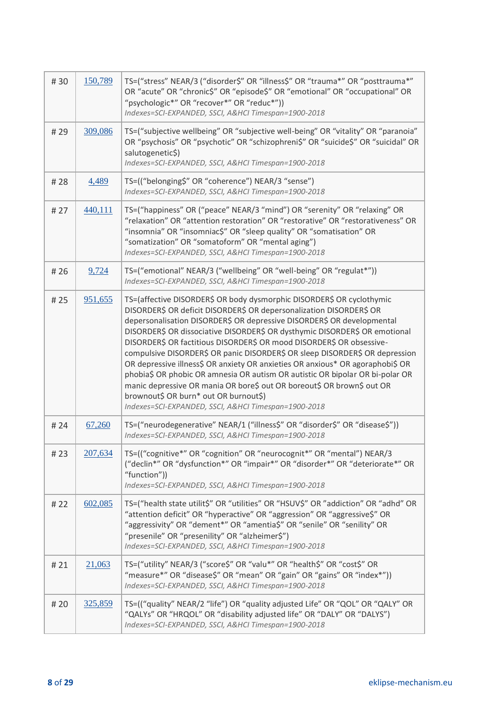| #30  | 150,789 | TS=("stress" NEAR/3 ("disorder\$" OR "illness\$" OR "trauma*" OR "posttrauma*"<br>OR "acute" OR "chronic\$" OR "episode\$" OR "emotional" OR "occupational" OR<br>"psychologic*" OR "recover*" OR "reduc*"))<br>Indexes=SCI-EXPANDED, SSCI, A&HCI Timespan=1900-2018                                                                                                                                                                                                                                                                                                                                                                                                                                                                                                                                      |  |
|------|---------|-----------------------------------------------------------------------------------------------------------------------------------------------------------------------------------------------------------------------------------------------------------------------------------------------------------------------------------------------------------------------------------------------------------------------------------------------------------------------------------------------------------------------------------------------------------------------------------------------------------------------------------------------------------------------------------------------------------------------------------------------------------------------------------------------------------|--|
| #29  | 309,086 | TS=("subjective wellbeing" OR "subjective well-being" OR "vitality" OR "paranoia"<br>OR "psychosis" OR "psychotic" OR "schizophreni\$" OR "suicide\$" OR "suicidal" OR<br>salutogenetic\$)<br>Indexes=SCI-EXPANDED, SSCI, A&HCI Timespan=1900-2018                                                                                                                                                                                                                                                                                                                                                                                                                                                                                                                                                        |  |
| #28  | 4,489   | TS=(("belonging\$" OR "coherence") NEAR/3 "sense")<br>Indexes=SCI-EXPANDED, SSCI, A&HCI Timespan=1900-2018                                                                                                                                                                                                                                                                                                                                                                                                                                                                                                                                                                                                                                                                                                |  |
| # 27 | 440,111 | TS=("happiness" OR ("peace" NEAR/3 "mind") OR "serenity" OR "relaxing" OR<br>"relaxation" OR "attention restoration" OR "restorative" OR "restorativeness" OR<br>"insomnia" OR "insomniac\$" OR "sleep quality" OR "somatisation" OR<br>"somatization" OR "somatoform" OR "mental aging")<br>Indexes=SCI-EXPANDED, SSCI, A&HCI Timespan=1900-2018                                                                                                                                                                                                                                                                                                                                                                                                                                                         |  |
| #26  | 9,724   | TS=("emotional" NEAR/3 ("wellbeing" OR "well-being" OR "regulat*"))<br>Indexes=SCI-EXPANDED, SSCI, A&HCI Timespan=1900-2018                                                                                                                                                                                                                                                                                                                                                                                                                                                                                                                                                                                                                                                                               |  |
| #25  | 951,655 | TS=(affective DISORDER\$ OR body dysmorphic DISORDER\$ OR cyclothymic<br>DISORDER\$ OR deficit DISORDER\$ OR depersonalization DISORDER\$ OR<br>depersonalisation DISORDER\$ OR depressive DISORDER\$ OR developmental<br>DISORDER\$ OR dissociative DISORDER\$ OR dysthymic DISORDER\$ OR emotional<br>DISORDER\$ OR factitious DISORDER\$ OR mood DISORDER\$ OR obsessive-<br>compulsive DISORDER\$ OR panic DISORDER\$ OR sleep DISORDER\$ OR depression<br>OR depressive illness\$ OR anxiety OR anxieties OR anxious* OR agoraphobi\$ OR<br>phobia\$ OR phobic OR amnesia OR autism OR autistic OR bipolar OR bi-polar OR<br>manic depressive OR mania OR bore\$ out OR boreout\$ OR brown\$ out OR<br>brownout\$ OR burn* out OR burnout\$)<br>Indexes=SCI-EXPANDED, SSCI, A&HCI Timespan=1900-2018 |  |
| #24  | 67,260  | TS=("neurodegenerative" NEAR/1 ("illness\$" OR "disorder\$" OR "disease\$"))<br>Indexes=SCI-EXPANDED, SSCI, A&HCI Timespan=1900-2018                                                                                                                                                                                                                                                                                                                                                                                                                                                                                                                                                                                                                                                                      |  |
| #23  | 207,634 | TS=(("cognitive*" OR "cognition" OR "neurocognit*" OR "mental") NEAR/3<br>("declin*" OR "dysfunction*" OR "impair*" OR "disorder*" OR "deteriorate*" OR<br>"function"))<br>Indexes=SCI-EXPANDED, SSCI, A&HCI Timespan=1900-2018                                                                                                                                                                                                                                                                                                                                                                                                                                                                                                                                                                           |  |
| # 22 | 602,085 | TS=("health state utilit\$" OR "utilities" OR "HSUV\$" OR "addiction" OR "adhd" OR<br>"attention deficit" OR "hyperactive" OR "aggression" OR "aggressive\$" OR<br>"aggressivity" OR "dement*" OR "amentia\$" OR "senile" OR "senility" OR<br>"presenile" OR "presenility" OR "alzheimer\$")<br>Indexes=SCI-EXPANDED, SSCI, A&HCI Timespan=1900-2018                                                                                                                                                                                                                                                                                                                                                                                                                                                      |  |
| #21  | 21,063  | TS=("utility" NEAR/3 ("score\$" OR "valu*" OR "health\$" OR "cost\$" OR<br>"measure*" OR "disease\$" OR "mean" OR "gain" OR "gains" OR "index*"))<br>Indexes=SCI-EXPANDED, SSCI, A&HCI Timespan=1900-2018                                                                                                                                                                                                                                                                                                                                                                                                                                                                                                                                                                                                 |  |
| # 20 | 325,859 | TS=(("quality" NEAR/2 "life") OR "quality adjusted Life" OR "QOL" OR "QALY" OR<br>"QALYs" OR "HRQOL" OR "disability adjusted life" OR "DALY" OR "DALYS")<br>Indexes=SCI-EXPANDED, SSCI, A&HCI Timespan=1900-2018                                                                                                                                                                                                                                                                                                                                                                                                                                                                                                                                                                                          |  |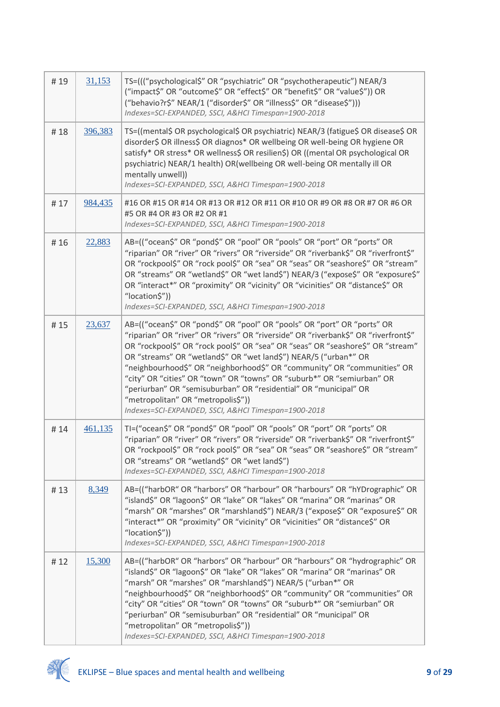| #19 | 31,153  | TS=((("psychological\$" OR "psychiatric" OR "psychotherapeutic") NEAR/3<br>("impact\$" OR "outcome\$" OR "effect\$" OR "benefit\$" OR "value\$")) OR<br>("behavio?r\$" NEAR/1 ("disorder\$" OR "illness\$" OR "disease\$")))<br>Indexes=SCI-EXPANDED, SSCI, A&HCI Timespan=1900-2018                                                                                                                                                                                                                                                                                                                                                          |  |
|-----|---------|-----------------------------------------------------------------------------------------------------------------------------------------------------------------------------------------------------------------------------------------------------------------------------------------------------------------------------------------------------------------------------------------------------------------------------------------------------------------------------------------------------------------------------------------------------------------------------------------------------------------------------------------------|--|
| #18 | 396,383 | TS=((mental\$ OR psychological\$ OR psychiatric) NEAR/3 (fatigue\$ OR disease\$ OR<br>disorder\$ OR illness\$ OR diagnos* OR wellbeing OR well-being OR hygiene OR<br>satisfy* OR stress* OR wellness\$ OR resilien\$) OR ((mental OR psychological OR<br>psychiatric) NEAR/1 health) OR(wellbeing OR well-being OR mentally ill OR<br>mentally unwell))<br>Indexes=SCI-EXPANDED, SSCI, A&HCI Timespan=1900-2018                                                                                                                                                                                                                              |  |
| #17 | 984,435 | #16 OR #15 OR #14 OR #13 OR #12 OR #11 OR #10 OR #9 OR #8 OR #7 OR #6 OR<br>#5 OR #4 OR #3 OR #2 OR #1<br>Indexes=SCI-EXPANDED, SSCI, A&HCI Timespan=1900-2018                                                                                                                                                                                                                                                                                                                                                                                                                                                                                |  |
| #16 | 22,883  | AB=(("ocean\$" OR "pond\$" OR "pool" OR "pools" OR "port" OR "ports" OR<br>"riparian" OR "river" OR "rivers" OR "riverside" OR "riverbank\$" OR "riverfront\$"<br>OR "rockpool\$" OR "rock pool\$" OR "sea" OR "seas" OR "seashore\$" OR "stream"<br>OR "streams" OR "wetland\$" OR "wet land\$") NEAR/3 ("expose\$" OR "exposure\$"<br>OR "interact*" OR "proximity" OR "vicinity" OR "vicinities" OR "distance\$" OR<br>"location\$"))<br>Indexes=SCI-EXPANDED, SSCI, A&HCI Timespan=1900-2018                                                                                                                                              |  |
| #15 | 23,637  | AB=(("ocean\$" OR "pond\$" OR "pool" OR "pools" OR "port" OR "ports" OR<br>"riparian" OR "river" OR "rivers" OR "riverside" OR "riverbank\$" OR "riverfront\$"<br>OR "rockpool\$" OR "rock pool\$" OR "sea" OR "seas" OR "seashore\$" OR "stream"<br>OR "streams" OR "wetland\$" OR "wet land\$") NEAR/5 ("urban*" OR<br>"neighbourhood\$" OR "neighborhood\$" OR "community" OR "communities" OR<br>"city" OR "cities" OR "town" OR "towns" OR "suburb*" OR "semiurban" OR<br>"periurban" OR "semisuburban" OR "residential" OR "municipal" OR<br>"metropolitan" OR "metropolis\$"))<br>Indexes=SCI-EXPANDED, SSCI, A&HCI Timespan=1900-2018 |  |
| #14 | 461,135 | TI=("ocean\$" OR "pond\$" OR "pool" OR "pools" OR "port" OR "ports" OR<br>"riparian" OR "river" OR "rivers" OR "riverside" OR "riverbank\$" OR "riverfront\$"<br>OR "rockpool\$" OR "rock pool\$" OR "sea" OR "seas" OR "seashore\$" OR "stream"<br>OR "streams" OR "wetland\$" OR "wet land\$")<br>Indexes=SCI-EXPANDED, SSCI, A&HCI Timespan=1900-2018                                                                                                                                                                                                                                                                                      |  |
| #13 | 8,349   | AB=(("harbOR" OR "harbors" OR "harbour" OR "harbours" OR "hYDrographic" OR<br>"island\$" OR "lagoon\$" OR "lake" OR "lakes" OR "marina" OR "marinas" OR<br>"marsh" OR "marshes" OR "marshland\$") NEAR/3 ("expose\$" OR "exposure\$" OR<br>"interact*" OR "proximity" OR "vicinity" OR "vicinities" OR "distance\$" OR<br>"location\$"))<br>Indexes=SCI-EXPANDED, SSCI, A&HCI Timespan=1900-2018                                                                                                                                                                                                                                              |  |
| #12 | 15,300  | AB=(("harbOR" OR "harbors" OR "harbour" OR "harbours" OR "hydrographic" OR<br>"island\$" OR "lagoon\$" OR "lake" OR "lakes" OR "marina" OR "marinas" OR<br>"marsh" OR "marshes" OR "marshland\$") NEAR/5 ("urban*" OR<br>"neighbourhood\$" OR "neighborhood\$" OR "community" OR "communities" OR<br>"city" OR "cities" OR "town" OR "towns" OR "suburb*" OR "semiurban" OR<br>"periurban" OR "semisuburban" OR "residential" OR "municipal" OR<br>"metropolitan" OR "metropolis\$"))<br>Indexes=SCI-EXPANDED, SSCI, A&HCI Timespan=1900-2018                                                                                                 |  |

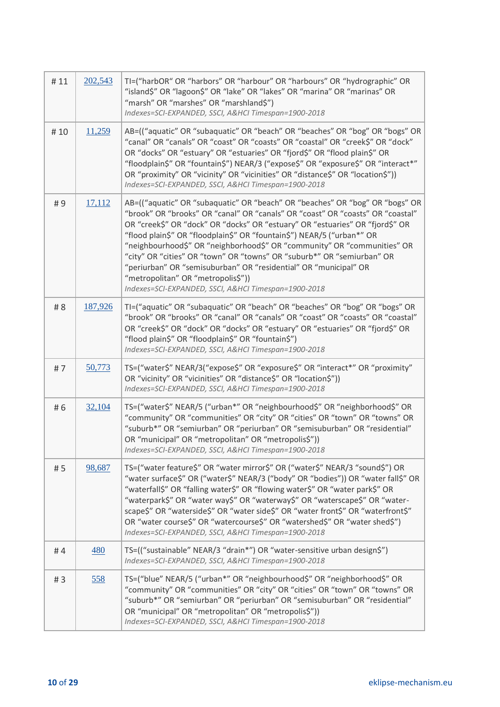| #11 | 202,543 | TI=("harbOR" OR "harbors" OR "harbour" OR "harbours" OR "hydrographic" OR<br>"island\$" OR "lagoon\$" OR "lake" OR "lakes" OR "marina" OR "marinas" OR<br>"marsh" OR "marshes" OR "marshland\$")<br>Indexes=SCI-EXPANDED, SSCI, A&HCI Timespan=1900-2018                                                                                                                                                                                                                                                                                                                                                                                          |  |
|-----|---------|---------------------------------------------------------------------------------------------------------------------------------------------------------------------------------------------------------------------------------------------------------------------------------------------------------------------------------------------------------------------------------------------------------------------------------------------------------------------------------------------------------------------------------------------------------------------------------------------------------------------------------------------------|--|
| #10 | 11,259  | AB=(("aquatic" OR "subaquatic" OR "beach" OR "beaches" OR "bog" OR "bogs" OR<br>"canal" OR "canals" OR "coast" OR "coasts" OR "coastal" OR "creek\$" OR "dock"<br>OR "docks" OR "estuary" OR "estuaries" OR "fjord\$" OR "flood plain\$" OR<br>"floodplain\$" OR "fountain\$") NEAR/3 ("expose\$" OR "exposure\$" OR "interact*"<br>OR "proximity" OR "vicinity" OR "vicinities" OR "distance\$" OR "location\$"))<br>Indexes=SCI-EXPANDED, SSCI, A&HCI Timespan=1900-2018                                                                                                                                                                        |  |
| #9  | 17,112  | AB=(("aquatic" OR "subaquatic" OR "beach" OR "beaches" OR "bog" OR "bogs" OR<br>"brook" OR "brooks" OR "canal" OR "canals" OR "coast" OR "coasts" OR "coastal"<br>OR "creek\$" OR "dock" OR "docks" OR "estuary" OR "estuaries" OR "fjord\$" OR<br>"flood plain\$" OR "floodplain\$" OR "fountain\$") NEAR/5 ("urban*" OR<br>"neighbourhood\$" OR "neighborhood\$" OR "community" OR "communities" OR<br>"city" OR "cities" OR "town" OR "towns" OR "suburb*" OR "semiurban" OR<br>"periurban" OR "semisuburban" OR "residential" OR "municipal" OR<br>"metropolitan" OR "metropolis\$"))<br>Indexes=SCI-EXPANDED, SSCI, A&HCI Timespan=1900-2018 |  |
| # 8 | 187,926 | TI=("aquatic" OR "subaquatic" OR "beach" OR "beaches" OR "bog" OR "bogs" OR<br>"brook" OR "brooks" OR "canal" OR "canals" OR "coast" OR "coasts" OR "coastal"<br>OR "creek\$" OR "dock" OR "docks" OR "estuary" OR "estuaries" OR "fjord\$" OR<br>"flood plain\$" OR "floodplain\$" OR "fountain\$")<br>Indexes=SCI-EXPANDED, SSCI, A&HCI Timespan=1900-2018                                                                                                                                                                                                                                                                                      |  |
| #7  | 50,773  | TS=("water\$" NEAR/3("expose\$" OR "exposure\$" OR "interact*" OR "proximity"<br>OR "vicinity" OR "vicinities" OR "distance\$" OR "location\$"))<br>Indexes=SCI-EXPANDED, SSCI, A&HCI Timespan=1900-2018                                                                                                                                                                                                                                                                                                                                                                                                                                          |  |
| #6  | 32,104  | TS=("water\$" NEAR/5 ("urban*" OR "neighbourhood\$" OR "neighborhood\$" OR<br>"community" OR "communities" OR "city" OR "cities" OR "town" OR "towns" OR<br>"suburb*" OR "semiurban" OR "periurban" OR "semisuburban" OR "residential"<br>OR "municipal" OR "metropolitan" OR "metropolis\$"))<br>Indexes=SCI-EXPANDED, SSCI, A&HCI Timespan=1900-2018                                                                                                                                                                                                                                                                                            |  |
| #5  | 98,687  | TS=("water feature\$" OR "water mirror\$" OR ("water\$" NEAR/3 "sound\$") OR<br>"water surface\$" OR ("water\$" NEAR/3 ("body" OR "bodies")) OR "water fall\$" OR<br>"waterfall\$" OR "falling water\$" OR "flowing water\$" OR "water park\$" OR<br>"waterpark\$" OR "water way\$" OR "waterway\$" OR "waterscape\$" OR "water-<br>scape\$" OR "waterside\$" OR "water side\$" OR "water front\$" OR "waterfront\$"<br>OR "water course\$" OR "watercourse\$" OR "watershed\$" OR "water shed\$")<br>Indexes=SCI-EXPANDED, SSCI, A&HCI Timespan=1900-2018                                                                                        |  |
| #4  | 480     | TS=(("sustainable" NEAR/3 "drain*") OR "water-sensitive urban design\$")<br>Indexes=SCI-EXPANDED, SSCI, A&HCI Timespan=1900-2018                                                                                                                                                                                                                                                                                                                                                                                                                                                                                                                  |  |
| #3  | 558     | TS=("blue" NEAR/5 ("urban*" OR "neighbourhood\$" OR "neighborhood\$" OR<br>"community" OR "communities" OR "city" OR "cities" OR "town" OR "towns" OR<br>"suburb*" OR "semiurban" OR "periurban" OR "semisuburban" OR "residential"<br>OR "municipal" OR "metropolitan" OR "metropolis\$"))<br>Indexes=SCI-EXPANDED, SSCI, A&HCI Timespan=1900-2018                                                                                                                                                                                                                                                                                               |  |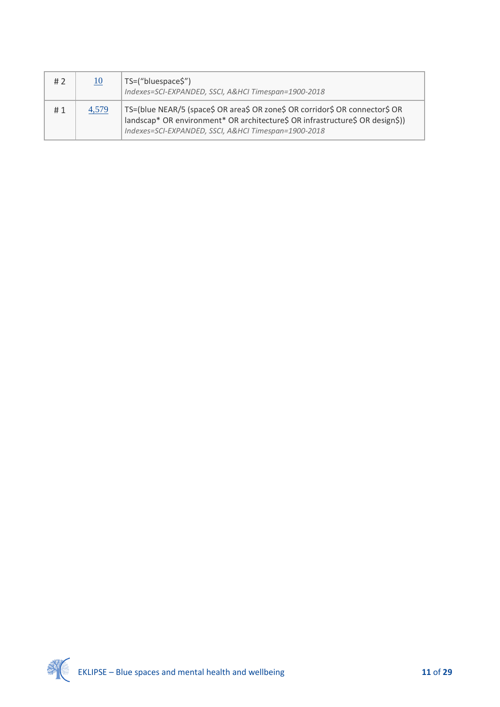| #2 | 10    | TS=("bluespace\$")<br>Indexes=SCI-EXPANDED, SSCI, A&HCI Timespan=1900-2018                                                                                                                                            |
|----|-------|-----------------------------------------------------------------------------------------------------------------------------------------------------------------------------------------------------------------------|
| #1 | 4,579 | TS=(blue NEAR/5 (space\$ OR area\$ OR zone\$ OR corridor\$ OR connector\$ OR<br>landscap* OR environment* OR architecture\$ OR infrastructure\$ OR design\$))<br>Indexes=SCI-EXPANDED, SSCI, A&HCI Timespan=1900-2018 |

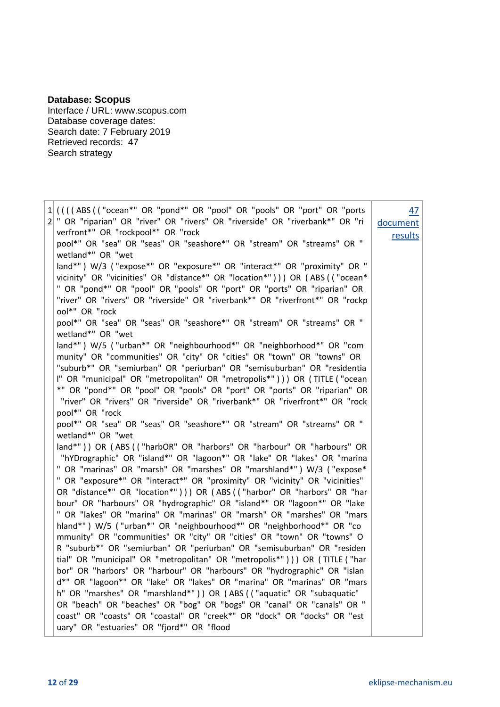| <b>Database: Scopus</b> |  |
|-------------------------|--|
|-------------------------|--|

Interface / URL: www.scopus.com Database coverage dates: Search date: 7 February 2019 Retrieved records: 47 Search strategy

| 1 ((((ABS(("ocean*" OR "pond*" OR "pool" OR "pools" OR "port" OR "ports<br>2 <sup>"</sup> OR "riparian" OR "river" OR "rivers" OR "riverside" OR "riverbank*" OR "ri<br>verfront*" OR "rockpool*" OR "rock                                                                                                                                | 47<br>document<br>results |
|-------------------------------------------------------------------------------------------------------------------------------------------------------------------------------------------------------------------------------------------------------------------------------------------------------------------------------------------|---------------------------|
| pool*" OR "sea" OR "seas" OR "seashore*" OR "stream" OR "streams" OR "<br>wetland*" OR "wet                                                                                                                                                                                                                                               |                           |
| land*") W/3 ("expose*" OR "exposure*" OR "interact*" OR "proximity" OR "<br>vicinity" OR "vicinities" OR "distance*" OR "location*" ) ) ) OR (ABS (("ocean*<br>" OR "pond*" OR "pool" OR "pools" OR "port" OR "ports" OR "riparian" OR<br>"river" OR "rivers" OR "riverside" OR "riverbank*" OR "riverfront*" OR "rockp<br>ool*" OR "rock |                           |
| pool*" OR "sea" OR "seas" OR "seashore*" OR "stream" OR "streams" OR "<br>wetland*" OR "wet                                                                                                                                                                                                                                               |                           |
| land*") W/5 ("urban*" OR "neighbourhood*" OR "neighborhood*" OR "com<br>munity" OR "communities" OR "city" OR "cities" OR "town" OR "towns" OR<br>"suburb*" OR "semiurban" OR "periurban" OR "semisuburban" OR "residentia                                                                                                                |                           |
| I" OR "municipal" OR "metropolitan" OR "metropolis*" ) ) ) OR (TITLE ("ocean<br>*" OR "pond*" OR "pool" OR "pools" OR "port" OR "ports" OR "riparian" OR<br>"river" OR "rivers" OR "riverside" OR "riverbank*" OR "riverfront*" OR "rock                                                                                                  |                           |
| pool*" OR "rock<br>pool*" OR "sea" OR "seas" OR "seashore*" OR "stream" OR "streams" OR "<br>wetland*" OR "wet                                                                                                                                                                                                                            |                           |
| land*")) OR (ABS (("harbOR" OR "harbors" OR "harbour" OR "harbours" OR<br>"hYDrographic" OR "island*" OR "lagoon*" OR "lake" OR "lakes" OR "marina<br>" OR "marinas" OR "marsh" OR "marshes" OR "marshland*" ) W/3 ("expose*                                                                                                              |                           |
| " OR "exposure*" OR "interact*" OR "proximity" OR "vicinity" OR "vicinities"<br>OR "distance*" OR "location*"))) OR (ABS (("harbor" OR "harbors" OR "har<br>bour" OR "harbours" OR "hydrographic" OR "island*" OR "lagoon*" OR "lake                                                                                                      |                           |
| " OR "lakes" OR "marina" OR "marinas" OR "marsh" OR "marshes" OR "mars<br>hland*") W/5 ("urban*" OR "neighbourhood*" OR "neighborhood*" OR "co<br>mmunity" OR "communities" OR "city" OR "cities" OR "town" OR "towns" O                                                                                                                  |                           |
| R "suburb*" OR "semiurban" OR "periurban" OR "semisuburban" OR "residen<br>tial" OR "municipal" OR "metropolitan" OR "metropolis*" ) ) ) OR (TITLE ("har<br>bor" OR "harbors" OR "harbour" OR "harbours" OR "hydrographic" OR "islan                                                                                                      |                           |
| d*" OR "lagoon*" OR "lake" OR "lakes" OR "marina" OR "marinas" OR "mars<br>h" OR "marshes" OR "marshland*")) OR (ABS (("aquatic" OR "subaquatic"                                                                                                                                                                                          |                           |
| OR "beach" OR "beaches" OR "bog" OR "bogs" OR "canal" OR "canals" OR "<br>coast" OR "coasts" OR "coastal" OR "creek*" OR "dock" OR "docks" OR "est<br>uary" OR "estuaries" OR "fjord*" OR "flood                                                                                                                                          |                           |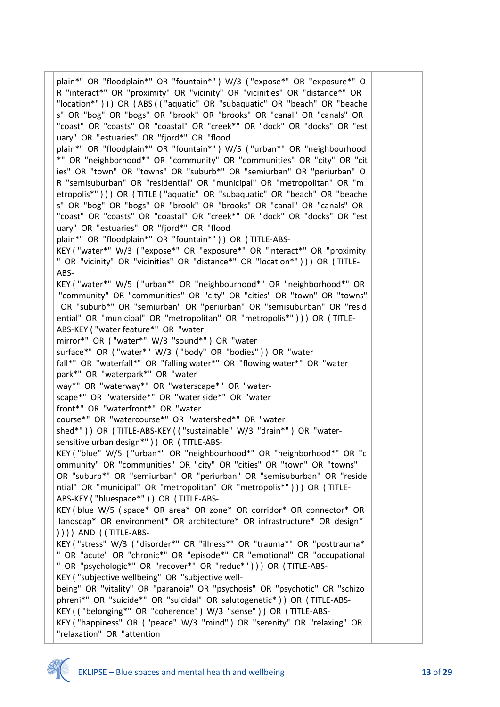|                                             | plain*" OR "floodplain*" OR "fountain*") W/3 ("expose*" OR "exposure*" O     |  |
|---------------------------------------------|------------------------------------------------------------------------------|--|
|                                             | R "interact*" OR "proximity" OR "vicinity" OR "vicinities" OR "distance*" OR |  |
|                                             | "location*"))) OR (ABS (("aquatic" OR "subaquatic" OR "beach" OR "beache     |  |
|                                             | s" OR "bog" OR "bogs" OR "brook" OR "brooks" OR "canal" OR "canals" OR       |  |
|                                             | "coast" OR "coasts" OR "coastal" OR "creek*" OR "dock" OR "docks" OR "est    |  |
|                                             | uary" OR "estuaries" OR "fjord*" OR "flood                                   |  |
|                                             | plain*" OR "floodplain*" OR "fountain*") W/5 ("urban*" OR "neighbourhood     |  |
|                                             | *" OR "neighborhood*" OR "community" OR "communities" OR "city" OR "cit      |  |
|                                             | ies" OR "town" OR "towns" OR "suburb*" OR "semiurban" OR "periurban" O       |  |
|                                             | R "semisuburban" OR "residential" OR "municipal" OR "metropolitan" OR "m     |  |
|                                             | etropolis*"))) OR (TITLE ("aquatic" OR "subaquatic" OR "beach" OR "beache    |  |
|                                             | s" OR "bog" OR "bogs" OR "brook" OR "brooks" OR "canal" OR "canals" OR       |  |
|                                             | "coast" OR "coasts" OR "coastal" OR "creek*" OR "dock" OR "docks" OR "est    |  |
|                                             | uary" OR "estuaries" OR "fjord*" OR "flood                                   |  |
|                                             | plain*" OR "floodplain*" OR "fountain*" ) ) OR (TITLE-ABS-                   |  |
|                                             | KEY ("water*" W/3 ("expose*" OR "exposure*" OR "interact*" OR "proximity     |  |
|                                             | " OR "vicinity" OR "vicinities" OR "distance*" OR "location*" ) ) OR (TITLE- |  |
| ABS-                                        |                                                                              |  |
|                                             | KEY ("water*" W/5 ("urban*" OR "neighbourhood*" OR "neighborhood*" OR        |  |
|                                             | "community" OR "communities" OR "city" OR "cities" OR "town" OR "towns"      |  |
|                                             | OR "suburb*" OR "semiurban" OR "periurban" OR "semisuburban" OR "resid       |  |
|                                             | ential" OR "municipal" OR "metropolitan" OR "metropolis*" ) ) ) OR (TITLE-   |  |
| ABS-KEY ("water feature*" OR "water         |                                                                              |  |
|                                             | mirror*" OR ("water*" W/3 "sound*") OR "water                                |  |
|                                             | surface*" OR ("water*" W/3 ("body" OR "bodies")) OR "water                   |  |
|                                             | fall*" OR "waterfall*" OR "falling water*" OR "flowing water*" OR "water     |  |
| park*" OR "waterpark*" OR "water            |                                                                              |  |
|                                             | way*" OR "waterway*" OR "waterscape*" OR "water-                             |  |
|                                             | scape*" OR "waterside*" OR "water side*" OR "water                           |  |
| front*" OR "waterfront*" OR "water          |                                                                              |  |
|                                             | course*" OR "watercourse*" OR "watershed*" OR "water                         |  |
|                                             | shed*")) OR (TITLE-ABS-KEY (("sustainable" W/3 "drain*") OR "water-          |  |
| sensitive urban design*" ) ) OR (TITLE-ABS- |                                                                              |  |
|                                             | KEY ("blue" W/5 ("urban*" OR "neighbourhood*" OR "neighborhood*" OR "c       |  |
|                                             | ommunity" OR "communities" OR "city" OR "cities" OR "town" OR "towns"        |  |
|                                             | OR "suburb*" OR "semiurban" OR "periurban" OR "semisuburban" OR "reside      |  |
|                                             | ntial" OR "municipal" OR "metropolitan" OR "metropolis*" ) ) ) OR (TITLE-    |  |
| ABS-KEY ("bluespace*")) OR (TITLE-ABS-      |                                                                              |  |
|                                             | KEY (blue W/5 (space* OR area* OR zone* OR corridor* OR connector* OR        |  |
|                                             | landscap* OR environment* OR architecture* OR infrastructure* OR design*     |  |
| ) ) ) ) AND ( (TITLE-ABS-                   |                                                                              |  |
|                                             | KEY ("stress" W/3 ("disorder*" OR "illness*" OR "trauma*" OR "posttrauma*    |  |
|                                             | " OR "acute" OR "chronic*" OR "episode*" OR "emotional" OR "occupational     |  |
|                                             | " OR "psychologic*" OR "recover*" OR "reduc*" ) ) ) OR (TITLE-ABS-           |  |
|                                             | KEY ("subjective wellbeing" OR "subjective well-                             |  |
|                                             | being" OR "vitality" OR "paranoia" OR "psychosis" OR "psychotic" OR "schizo  |  |
|                                             | phreni*" OR "suicide*" OR "suicidal" OR salutogenetic*)) OR (TITLE-ABS-      |  |
|                                             | KEY (("belonging*" OR "coherence") W/3 "sense")) OR (TITLE-ABS-              |  |
|                                             | KEY ("happiness" OR ("peace" W/3 "mind") OR "serenity" OR "relaxing" OR      |  |
| "relaxation" OR "attention                  |                                                                              |  |

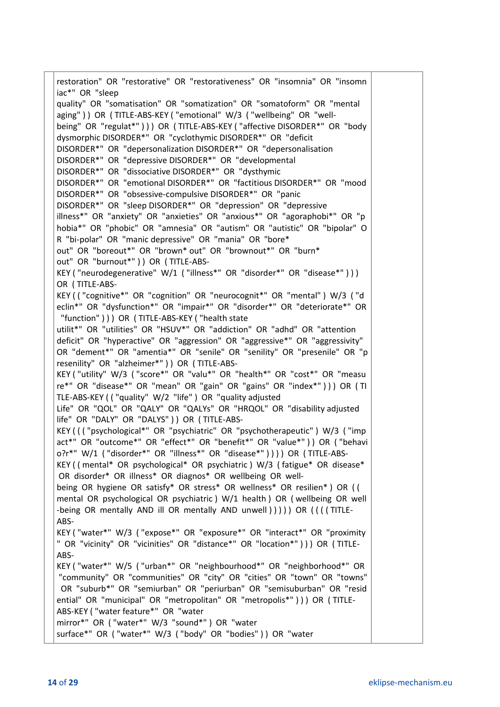| restoration" OR "restorative" OR "restorativeness" OR "insomnia" OR "insomn<br>iac*" OR "sleep                                                            |  |
|-----------------------------------------------------------------------------------------------------------------------------------------------------------|--|
| quality" OR "somatisation" OR "somatization" OR "somatoform" OR "mental                                                                                   |  |
| aging")) OR (TITLE-ABS-KEY ("emotional" W/3 ("wellbeing" OR "well-<br>being" OR "regulat*"))) OR (TITLE-ABS-KEY ("affective DISORDER*" OR "body           |  |
| dysmorphic DISORDER*" OR "cyclothymic DISORDER*" OR "deficit                                                                                              |  |
| DISORDER*" OR "depersonalization DISORDER*" OR "depersonalisation<br>DISORDER*" OR "depressive DISORDER*" OR "developmental                               |  |
| DISORDER*" OR "dissociative DISORDER*" OR "dysthymic                                                                                                      |  |
| DISORDER*" OR "emotional DISORDER*" OR "factitious DISORDER*" OR "mood<br>DISORDER*" OR "obsessive-compulsive DISORDER*" OR "panic                        |  |
| DISORDER*" OR "sleep DISORDER*" OR "depression" OR "depressive                                                                                            |  |
| illness*" OR "anxiety" OR "anxieties" OR "anxious*" OR "agoraphobi*" OR "p                                                                                |  |
| hobia*" OR "phobic" OR "amnesia" OR "autism" OR "autistic" OR "bipolar" O<br>R "bi-polar" OR "manic depressive" OR "mania" OR "bore*                      |  |
| out" OR "boreout*" OR "brown* out" OR "brownout*" OR "burn*                                                                                               |  |
| out" OR "burnout*" ) ) OR (TITLE-ABS-<br>KEY ("neurodegenerative" W/1 ("illness*" OR "disorder*" OR "disease*")))                                         |  |
| OR (TITLE-ABS-                                                                                                                                            |  |
| KEY (("cognitive*" OR "cognition" OR "neurocognit*" OR "mental") W/3 ("d<br>eclin*" OR "dysfunction*" OR "impair*" OR "disorder*" OR "deteriorate*" OR    |  |
| "function" ) ) ) OR ( TITLE-ABS-KEY ( "health state                                                                                                       |  |
| utilit*" OR "utilities" OR "HSUV*" OR "addiction" OR "adhd" OR "attention<br>deficit" OR "hyperactive" OR "aggression" OR "aggressive*" OR "aggressivity" |  |
| OR "dement*" OR "amentia*" OR "senile" OR "senility" OR "presenile" OR "p                                                                                 |  |
| resenility" OR "alzheimer*" ) ) OR (TITLE-ABS-<br>KEY ("utility" W/3 ("score*" OR "valu*" OR "health*" OR "cost*" OR "measu                               |  |
| re*" OR "disease*" OR "mean" OR "gain" OR "gains" OR "index*" ) ) ) OR (TI                                                                                |  |
| TLE-ABS-KEY (("quality" W/2 "life") OR "quality adjusted<br>Life" OR "QOL" OR "QALY" OR "QALYs" OR "HRQOL" OR "disability adjusted                        |  |
| life" OR "DALY" OR "DALYS" ) ) OR (TITLE-ABS-                                                                                                             |  |
| KEY ((("psychological*" OR "psychiatric" OR "psychotherapeutic") W/3 ("imp                                                                                |  |
| act*" OR "outcome*" OR "effect*" OR "benefit*" OR "value*")) OR ("behavi<br>o?r*" W/1 ("disorder*" OR "illness*" OR "disease*")))) OR (TITLE-ABS-         |  |
| KEY ((mental* OR psychological* OR psychiatric) W/3 (fatigue* OR disease*                                                                                 |  |
| OR disorder* OR illness* OR diagnos* OR wellbeing OR well-<br>being OR hygiene OR satisfy* OR stress* OR wellness* OR resilien*) OR ((                    |  |
| mental OR psychological OR psychiatric) W/1 health) OR (wellbeing OR well                                                                                 |  |
| -being OR mentally AND ill OR mentally AND unwell () ) ) ) OR ((((TITLE-<br>ABS-                                                                          |  |
| KEY ("water*" W/3 ("expose*" OR "exposure*" OR "interact*" OR "proximity                                                                                  |  |
| " OR "vicinity" OR "vicinities" OR "distance*" OR "location*" ) ) ) OR (TITLE-<br>ABS-                                                                    |  |
| KEY ("water*" W/5 ("urban*" OR "neighbourhood*" OR "neighborhood*" OR                                                                                     |  |
| "community" OR "communities" OR "city" OR "cities" OR "town" OR "towns"<br>OR "suburb*" OR "semiurban" OR "periurban" OR "semisuburban" OR "resid         |  |
| ential" OR "municipal" OR "metropolitan" OR "metropolis*" ) ) ) OR (TITLE-                                                                                |  |
| ABS-KEY ("water feature*" OR "water<br>mirror*" OR ("water*" W/3 "sound*") OR "water                                                                      |  |
| surface*" OR ("water*" W/3 ("body" OR "bodies")) OR "water                                                                                                |  |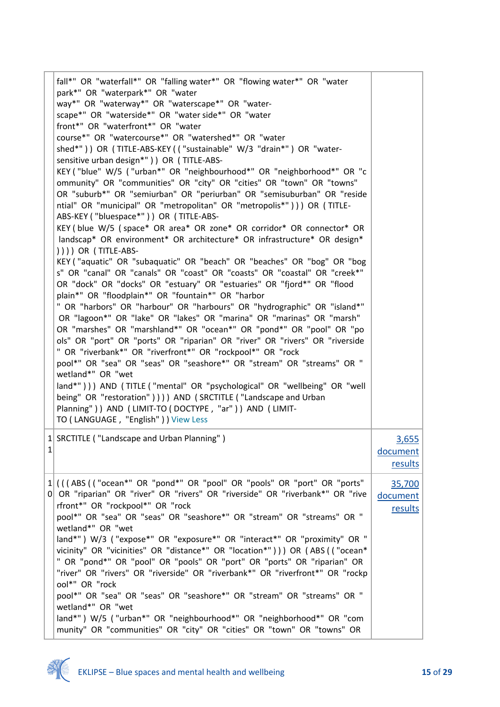|          | fall*" OR "waterfall*" OR "falling water*" OR "flowing water*" OR "water<br>park*" OR "waterpark*" OR "water<br>way*" OR "waterway*" OR "waterscape*" OR "water-<br>scape*" OR "waterside*" OR "water side*" OR "water<br>front*" OR "waterfront*" OR "water<br>course*" OR "watercourse*" OR "watershed*" OR "water<br>shed*")) OR (TITLE-ABS-KEY (("sustainable" W/3 "drain*") OR "water-<br>sensitive urban design*" ) ) OR (TITLE-ABS-<br>KEY ("blue" W/5 ("urban*" OR "neighbourhood*" OR "neighborhood*" OR "c<br>ommunity" OR "communities" OR "city" OR "cities" OR "town" OR "towns"<br>OR "suburb*" OR "semiurban" OR "periurban" OR "semisuburban" OR "reside<br>ntial" OR "municipal" OR "metropolitan" OR "metropolis*" ) ) ) OR ( TITLE-<br>ABS-KEY ("bluespace*")) OR (TITLE-ABS-<br>KEY (blue W/5 (space* OR area* OR zone* OR corridor* OR connector* OR<br>landscap* OR environment* OR architecture* OR infrastructure* OR design*<br>) ) ) OR ( TITLE-ABS-<br>KEY ("aquatic" OR "subaquatic" OR "beach" OR "beaches" OR "bog" OR "bog<br>s" OR "canal" OR "canals" OR "coast" OR "coasts" OR "coastal" OR "creek*"<br>OR "dock" OR "docks" OR "estuary" OR "estuaries" OR "fjord*" OR "flood<br>plain*" OR "floodplain*" OR "fountain*" OR "harbor<br>" OR "harbors" OR "harbour" OR "harbours" OR "hydrographic" OR "island*"<br>OR "lagoon*" OR "lake" OR "lakes" OR "marina" OR "marinas" OR "marsh"<br>OR "marshes" OR "marshland*" OR "ocean*" OR "pond*" OR "pool" OR "po<br>ols" OR "port" OR "ports" OR "riparian" OR "river" OR "rivers" OR "riverside<br>" OR "riverbank*" OR "riverfront*" OR "rockpool*" OR "rock<br>pool*" OR "sea" OR "seas" OR "seashore*" OR "stream" OR "streams" OR "<br>wetland*" OR "wet<br>land*"))) AND (TITLE ("mental" OR "psychological" OR "wellbeing" OR "well<br>being" OR "restoration" ) ) ) AND (SRCTITLE ("Landscape and Urban<br>Planning" ) ) AND ( LIMIT-TO ( DOCTYPE, "ar" ) ) AND ( LIMIT-<br>TO (LANGUAGE, "English") ) View Less |                               |
|----------|-------------------------------------------------------------------------------------------------------------------------------------------------------------------------------------------------------------------------------------------------------------------------------------------------------------------------------------------------------------------------------------------------------------------------------------------------------------------------------------------------------------------------------------------------------------------------------------------------------------------------------------------------------------------------------------------------------------------------------------------------------------------------------------------------------------------------------------------------------------------------------------------------------------------------------------------------------------------------------------------------------------------------------------------------------------------------------------------------------------------------------------------------------------------------------------------------------------------------------------------------------------------------------------------------------------------------------------------------------------------------------------------------------------------------------------------------------------------------------------------------------------------------------------------------------------------------------------------------------------------------------------------------------------------------------------------------------------------------------------------------------------------------------------------------------------------------------------------------------------------------------------------------------------------------------------------------------------------------------------------------------------|-------------------------------|
| $1\vert$ | 1 SRCTITLE ("Landscape and Urban Planning")                                                                                                                                                                                                                                                                                                                                                                                                                                                                                                                                                                                                                                                                                                                                                                                                                                                                                                                                                                                                                                                                                                                                                                                                                                                                                                                                                                                                                                                                                                                                                                                                                                                                                                                                                                                                                                                                                                                                                                 | 3,655<br>document<br>results  |
|          | 1 (((ABS (("ocean*" OR "pond*" OR "pool" OR "pools" OR "port" OR "ports"<br>0 OR "riparian" OR "river" OR "rivers" OR "riverside" OR "riverbank*" OR "rive<br>rfront*" OR "rockpool*" OR "rock<br>pool*" OR "sea" OR "seas" OR "seashore*" OR "stream" OR "streams" OR "<br>wetland*" OR "wet<br>land*") W/3 ("expose*" OR "exposure*" OR "interact*" OR "proximity" OR "<br>vicinity" OR "vicinities" OR "distance*" OR "location*" ) ) ) OR (ABS ( ("ocean*<br>" OR "pond*" OR "pool" OR "pools" OR "port" OR "ports" OR "riparian" OR<br>"river" OR "rivers" OR "riverside" OR "riverbank*" OR "riverfront*" OR "rockp<br>ool*" OR "rock<br>pool*" OR "sea" OR "seas" OR "seashore*" OR "stream" OR "streams" OR "<br>wetland*" OR "wet<br>land*") W/5 ("urban*" OR "neighbourhood*" OR "neighborhood*" OR "com<br>munity" OR "communities" OR "city" OR "cities" OR "town" OR "towns" OR                                                                                                                                                                                                                                                                                                                                                                                                                                                                                                                                                                                                                                                                                                                                                                                                                                                                                                                                                                                                                                                                                                                | 35,700<br>document<br>results |

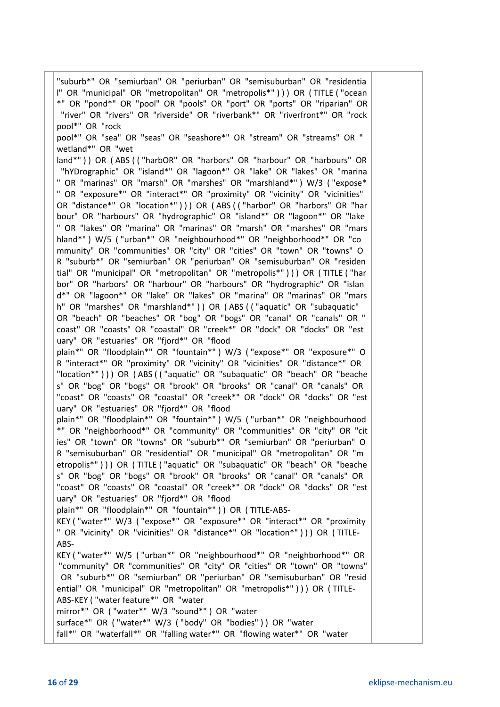| I" OR "municipal" OR "metropolitan" OR "metropolis*" ) ) OR (TITLE ("ocean                                        |  |
|-------------------------------------------------------------------------------------------------------------------|--|
| *" OR "pond*" OR "pool" OR "pools" OR "port" OR "ports" OR "riparian" OR                                          |  |
| "river" OR "rivers" OR "riverside" OR "riverbank*" OR "riverfront*" OR "rock                                      |  |
| pool*" OR "rock                                                                                                   |  |
| pool*" OR "sea" OR "seas" OR "seashore*" OR "stream" OR "streams" OR "                                            |  |
| wetland*" OR "wet                                                                                                 |  |
| land*")) OR (ABS (("harbOR" OR "harbors" OR "harbour" OR "harbours" OR                                            |  |
| "hYDrographic" OR "island*" OR "lagoon*" OR "lake" OR "lakes" OR "marina                                          |  |
| " OR "marinas" OR "marsh" OR "marshes" OR "marshland*") W/3 ("expose*                                             |  |
| " OR "exposure*" OR "interact*" OR "proximity" OR "vicinity" OR "vicinities"                                      |  |
| OR "distance*" OR "location*" ) ) OR (ABS (("harbor" OR "harbors" OR "har                                         |  |
| bour" OR "harbours" OR "hydrographic" OR "island*" OR "lagoon*" OR "lake                                          |  |
| " OR "lakes" OR "marina" OR "marinas" OR "marsh" OR "marshes" OR "mars                                            |  |
| hland*") W/5 ("urban*" OR "neighbourhood*" OR "neighborhood*" OR "co                                              |  |
| mmunity" OR "communities" OR "city" OR "cities" OR "town" OR "towns" O                                            |  |
| R "suburb*" OR "semiurban" OR "periurban" OR "semisuburban" OR "residen                                           |  |
| tial" OR "municipal" OR "metropolitan" OR "metropolis*" ) ) ) OR (TITLE ("har                                     |  |
| bor" OR "harbors" OR "harbour" OR "harbours" OR "hydrographic" OR "islan                                          |  |
| d*" OR "lagoon*" OR "lake" OR "lakes" OR "marina" OR "marinas" OR "mars                                           |  |
| h" OR "marshes" OR "marshland*" ) ) OR (ABS (("aquatic" OR "subaquatic"                                           |  |
| OR "beach" OR "beaches" OR "bog" OR "bogs" OR "canal" OR "canals" OR "                                            |  |
| coast" OR "coasts" OR "coastal" OR "creek*" OR "dock" OR "docks" OR "est                                          |  |
| uary" OR "estuaries" OR "fjord*" OR "flood                                                                        |  |
| plain*" OR "floodplain*" OR "fountain*") W/3 ("expose*" OR "exposure*" O                                          |  |
| R "interact*" OR "proximity" OR "vicinity" OR "vicinities" OR "distance*" OR                                      |  |
| "location*"))) OR (ABS(("aquatic" OR "subaquatic" OR "beach" OR "beache                                           |  |
| s" OR "bog" OR "bogs" OR "brook" OR "brooks" OR "canal" OR "canals" OR                                            |  |
| "coast" OR "coasts" OR "coastal" OR "creek*" OR "dock" OR "docks" OR "est                                         |  |
| uary" OR "estuaries" OR "fjord*" OR "flood                                                                        |  |
| plain*" OR "floodplain*" OR "fountain*") W/5 ("urban*" OR "neighbourhood                                          |  |
| *" OR "neighborhood*" OR "community" OR "communities" OR "city" OR "cit                                           |  |
| ies" OR "town" OR "towns" OR "suburb*" OR "semiurban" OR "periurban" O                                            |  |
| R "semisuburban" OR "residential" OR "municipal" OR "metropolitan" OR "m                                          |  |
| etropolis*"))) OR (TITLE ("aquatic" OR "subaquatic" OR "beach" OR "beache                                         |  |
| s" OR "bog" OR "bogs" OR "brook" OR "brooks" OR "canal" OR "canals" OR                                            |  |
| "coast" OR "coasts" OR "coastal" OR "creek*" OR "dock" OR "docks" OR "est                                         |  |
| uary" OR "estuaries" OR "fjord*" OR "flood                                                                        |  |
| plain*" OR "floodplain*" OR "fountain*" ) ) OR (TITLE-ABS-                                                        |  |
| KEY ("water*" W/3 ("expose*" OR "exposure*" OR "interact*" OR "proximity                                          |  |
| " OR "vicinity" OR "vicinities" OR "distance*" OR "location*" ) ) ) OR (TITLE-                                    |  |
| ABS-                                                                                                              |  |
| KEY ("water*" W/5 ("urban*" OR "neighbourhood*" OR "neighborhood*" OR                                             |  |
| "community" OR "communities" OR "city" OR "cities" OR "town" OR "towns"                                           |  |
| OR "suburb*" OR "semiurban" OR "periurban" OR "semisuburban" OR "resid                                            |  |
| ential" OR "municipal" OR "metropolitan" OR "metropolis*" ) ) ) OR (TITLE-<br>ABS-KEY ("water feature*" OR "water |  |
| mirror*" OR ("water*" W/3 "sound*") OR "water                                                                     |  |
| surface*" OR ("water*" W/3 ("body" OR "bodies")) OR "water                                                        |  |
| fall*" OR "waterfall*" OR "falling water*" OR "flowing water*" OR "water                                          |  |
|                                                                                                                   |  |

"suburb\*" OR "semiurban" OR "periurban" OR "semisuburban" OR "residentia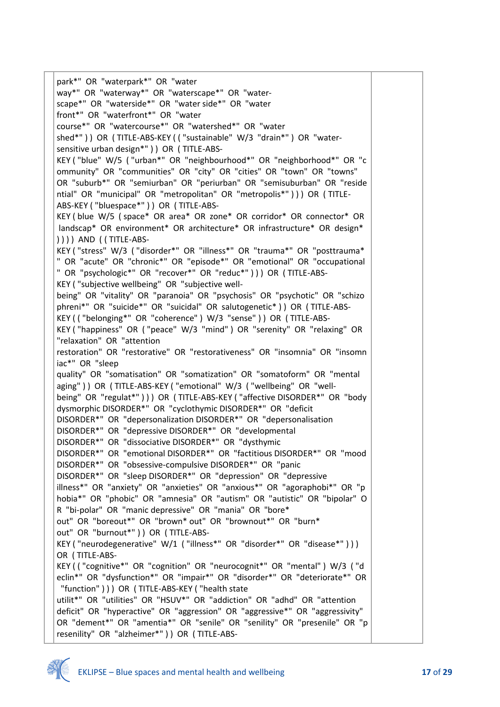| park*" OR "waterpark*" OR "water                                                                                                                |  |
|-------------------------------------------------------------------------------------------------------------------------------------------------|--|
| way*" OR "waterway*" OR "waterscape*" OR "water-                                                                                                |  |
| scape*" OR "waterside*" OR "water side*" OR "water                                                                                              |  |
| front*" OR "waterfront*" OR "water                                                                                                              |  |
| course*" OR "watercourse*" OR "watershed*" OR "water                                                                                            |  |
| shed*")) OR (TITLE-ABS-KEY (("sustainable" W/3 "drain*") OR "water-                                                                             |  |
| sensitive urban design*" ) ) OR (TITLE-ABS-                                                                                                     |  |
| KEY ("blue" W/5 ("urban*" OR "neighbourhood*" OR "neighborhood*" OR "c                                                                          |  |
| ommunity" OR "communities" OR "city" OR "cities" OR "town" OR "towns"                                                                           |  |
| OR "suburb*" OR "semiurban" OR "periurban" OR "semisuburban" OR "reside                                                                         |  |
| ntial" OR "municipal" OR "metropolitan" OR "metropolis*" ) ) ) OR (TITLE-                                                                       |  |
| ABS-KEY ("bluespace*")) OR (TITLE-ABS-                                                                                                          |  |
| KEY (blue W/5 (space* OR area* OR zone* OR corridor* OR connector* OR                                                                           |  |
| landscap* OR environment* OR architecture* OR infrastructure* OR design*                                                                        |  |
| ())) AND ((TITLE-ABS-                                                                                                                           |  |
| KEY ("stress" W/3 ("disorder*" OR "illness*" OR "trauma*" OR "posttrauma*                                                                       |  |
| " OR "acute" OR "chronic*" OR "episode*" OR "emotional" OR "occupational                                                                        |  |
| " OR "psychologic*" OR "recover*" OR "reduc*" ) ) ) OR (TITLE-ABS-                                                                              |  |
| KEY ("subjective wellbeing" OR "subjective well-                                                                                                |  |
| being" OR "vitality" OR "paranoia" OR "psychosis" OR "psychotic" OR "schizo                                                                     |  |
| phreni*" OR "suicide*" OR "suicidal" OR salutogenetic*)) OR (TITLE-ABS-                                                                         |  |
| KEY (("belonging*" OR "coherence") W/3 "sense")) OR (TITLE-ABS-                                                                                 |  |
| KEY ("happiness" OR ("peace" W/3 "mind") OR "serenity" OR "relaxing" OR                                                                         |  |
| "relaxation" OR "attention                                                                                                                      |  |
| restoration" OR "restorative" OR "restorativeness" OR "insomnia" OR "insomn                                                                     |  |
| iac*" OR "sleep                                                                                                                                 |  |
| quality" OR "somatisation" OR "somatization" OR "somatoform" OR "mental                                                                         |  |
| aging")) OR (TITLE-ABS-KEY ("emotional" W/3 ("wellbeing" OR "well-<br>being" OR "regulat*"))) OR (TITLE-ABS-KEY ("affective DISORDER*" OR "body |  |
| dysmorphic DISORDER*" OR "cyclothymic DISORDER*" OR "deficit                                                                                    |  |
| DISORDER*" OR "depersonalization DISORDER*" OR "depersonalisation                                                                               |  |
| DISORDER*" OR "depressive DISORDER*" OR "developmental                                                                                          |  |
| DISORDER*" OR "dissociative DISORDER*" OR "dysthymic                                                                                            |  |
| DISORDER*" OR "emotional DISORDER*" OR "factitious DISORDER*" OR "mood                                                                          |  |
| DISORDER*" OR "obsessive-compulsive DISORDER*" OR "panic                                                                                        |  |
| DISORDER*" OR "sleep DISORDER*" OR "depression" OR "depressive                                                                                  |  |
| illness*" OR "anxiety" OR "anxieties" OR "anxious*" OR "agoraphobi*" OR "p                                                                      |  |
| hobia*" OR "phobic" OR "amnesia" OR "autism" OR "autistic" OR "bipolar" O                                                                       |  |
| R "bi-polar" OR "manic depressive" OR "mania" OR "bore*                                                                                         |  |
| out" OR "boreout*" OR "brown* out" OR "brownout*" OR "burn*                                                                                     |  |
| out" OR "burnout*" ) ) OR (TITLE-ABS-                                                                                                           |  |
| KEY ("neurodegenerative" W/1 ("illness*" OR "disorder*" OR "disease*")))                                                                        |  |
| OR (TITLE-ABS-                                                                                                                                  |  |
| KEY (("cognitive*" OR "cognition" OR "neurocognit*" OR "mental") W/3 ("d                                                                        |  |
| eclin*" OR "dysfunction*" OR "impair*" OR "disorder*" OR "deteriorate*" OR                                                                      |  |
| "function" ) ) ) OR ( TITLE-ABS-KEY ( "health state                                                                                             |  |
| utilit*" OR "utilities" OR "HSUV*" OR "addiction" OR "adhd" OR "attention                                                                       |  |
| deficit" OR "hyperactive" OR "aggression" OR "aggressive*" OR "aggressivity"                                                                    |  |
| OR "dement*" OR "amentia*" OR "senile" OR "senility" OR "presenile" OR "p                                                                       |  |
| resenility" OR "alzheimer*" ) ) OR (TITLE-ABS-                                                                                                  |  |

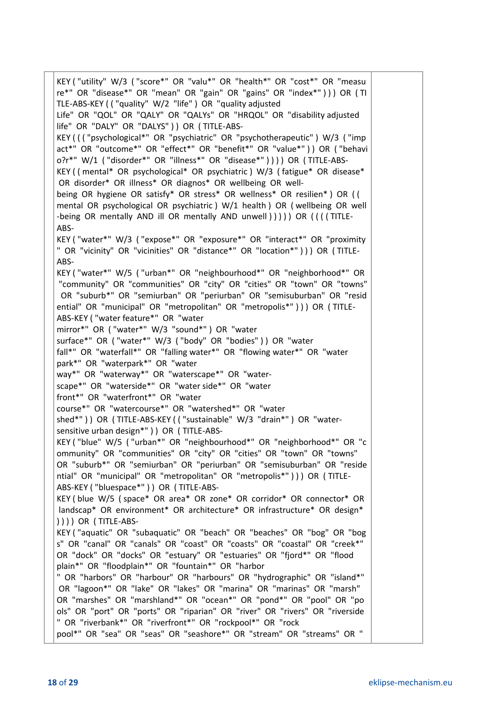KEY ( "utility" W/3 ( "score\*" OR "valu\*" OR "health\*" OR "cost\*" OR "measu re\*" OR "disease\*" OR "mean" OR "gain" OR "gains" OR "index\*" ) ) ) OR ( TI TLE-ABS-KEY ( ( "quality" W/2 "life" ) OR "quality adjusted Life" OR "QOL" OR "QALY" OR "QALYs" OR "HRQOL" OR "disability adjusted life" OR "DALY" OR "DALYS" ) ) OR ( TITLE-ABS-KEY ( ( ( "psychological\*" OR "psychiatric" OR "psychotherapeutic" ) W/3 ( "imp act\*" OR "outcome\*" OR "effect\*" OR "benefit\*" OR "value\*")) OR ("behavi o?r\*" W/1 ( "disorder\*" OR "illness\*" OR "disease\*" ) ) ) ) OR ( TITLE-ABS-KEY ( ( mental\* OR psychological\* OR psychiatric ) W/3 ( fatigue\* OR disease\* OR disorder\* OR illness\* OR diagnos\* OR wellbeing OR wellbeing OR hygiene OR satisfy\* OR stress\* OR wellness\* OR resilien\* ) OR ( ( mental OR psychological OR psychiatric ) W/1 health ) OR ( wellbeing OR well -being OR mentally AND ill OR mentally AND unwell ) ) ) ) OR ( ( ( ( TITLE-ABS-KEY ( "water\*" W/3 ( "expose\*" OR "exposure\*" OR "interact\*" OR "proximity " OR "vicinity" OR "vicinities" OR "distance\*" OR "location\*" ) ) ) OR ( TITLE-ABS-KEY ( "water\*" W/5 ( "urban\*" OR "neighbourhood\*" OR "neighborhood\*" OR "community" OR "communities" OR "city" OR "cities" OR "town" OR "towns" OR "suburb\*" OR "semiurban" OR "periurban" OR "semisuburban" OR "resid ential" OR "municipal" OR "metropolitan" OR "metropolis\*" ) ) ) OR (TITLE-ABS-KEY ( "water feature\*" OR "water mirror\*" OR ( "water\*" W/3 "sound\*" ) OR "water surface\*" OR ( "water\*" W/3 ( "body" OR "bodies" ) ) OR "water fall\*" OR "waterfall\*" OR "falling water\*" OR "flowing water\*" OR "water park\*" OR "waterpark\*" OR "water way\*" OR "waterway\*" OR "waterscape\*" OR "waterscape\*" OR "waterside\*" OR "water side\*" OR "water front\*" OR "waterfront\*" OR "water course\*" OR "watercourse\*" OR "watershed\*" OR "water shed\*" ) ) OR ( TITLE-ABS-KEY ( ( "sustainable" W/3 "drain\*" ) OR "watersensitive urban design\*" ) ) OR (TITLE-ABS-KEY ( "blue" W/5 ( "urban\*" OR "neighbourhood\*" OR "neighborhood\*" OR "c ommunity" OR "communities" OR "city" OR "cities" OR "town" OR "towns" OR "suburb\*" OR "semiurban" OR "periurban" OR "semisuburban" OR "reside ntial" OR "municipal" OR "metropolitan" OR "metropolis\*" ) ) ) OR ( TITLE-ABS-KEY ( "bluespace\*" ) ) OR ( TITLE-ABS-KEY ( blue W/5 ( space\* OR area\* OR zone\* OR corridor\* OR connector\* OR landscap\* OR environment\* OR architecture\* OR infrastructure\* OR design\* ) ) ) ) OR ( TITLE-ABS-KEY ( "aquatic" OR "subaquatic" OR "beach" OR "beaches" OR "bog" OR "bog s" OR "canal" OR "canals" OR "coast" OR "coasts" OR "coastal" OR "creek\*" OR "dock" OR "docks" OR "estuary" OR "estuaries" OR "fjord\*" OR "flood plain\*" OR "floodplain\*" OR "fountain\*" OR "harbor " OR "harbors" OR "harbour" OR "harbours" OR "hydrographic" OR "island\*" OR "lagoon\*" OR "lake" OR "lakes" OR "marina" OR "marinas" OR "marsh" OR "marshes" OR "marshland\*" OR "ocean\*" OR "pond\*" OR "pool" OR "po ols" OR "port" OR "ports" OR "riparian" OR "river" OR "rivers" OR "riverside " OR "riverbank\*" OR "riverfront\*" OR "rockpool\*" OR "rock pool\*" OR "sea" OR "seas" OR "seashore\*" OR "stream" OR "streams" OR "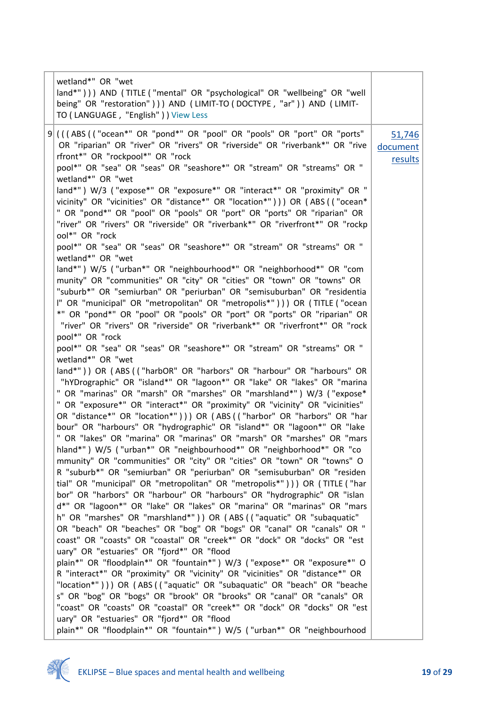| wetland*" OR "wet<br>land*"))) AND (TITLE ("mental" OR "psychological" OR "wellbeing" OR "well<br>being" OR "restoration" ) ) ) AND (LIMIT-TO (DOCTYPE, "ar" ) ) AND (LIMIT-<br>TO (LANGUAGE, "English") ) View Less                                                                                                                                                                                                                                                                                                                                                                                                                                                                                                                                                                                                                                                                                                                                                                                                                                                                                                                                                                                                                                                                                                  |                               |
|-----------------------------------------------------------------------------------------------------------------------------------------------------------------------------------------------------------------------------------------------------------------------------------------------------------------------------------------------------------------------------------------------------------------------------------------------------------------------------------------------------------------------------------------------------------------------------------------------------------------------------------------------------------------------------------------------------------------------------------------------------------------------------------------------------------------------------------------------------------------------------------------------------------------------------------------------------------------------------------------------------------------------------------------------------------------------------------------------------------------------------------------------------------------------------------------------------------------------------------------------------------------------------------------------------------------------|-------------------------------|
| 9 (((ABS (("ocean*" OR "pond*" OR "pool" OR "pools" OR "port" OR "ports"<br>OR "riparian" OR "river" OR "rivers" OR "riverside" OR "riverbank*" OR "rive<br>rfront*" OR "rockpool*" OR "rock<br>pool*" OR "sea" OR "seas" OR "seashore*" OR "stream" OR "streams" OR "<br>wetland*" OR "wet                                                                                                                                                                                                                                                                                                                                                                                                                                                                                                                                                                                                                                                                                                                                                                                                                                                                                                                                                                                                                           | 51,746<br>document<br>results |
| land*") W/3 ("expose*" OR "exposure*" OR "interact*" OR "proximity" OR "<br>vicinity" OR "vicinities" OR "distance*" OR "location*" ) ) ) OR (ABS (("ocean*<br>" OR "pond*" OR "pool" OR "pools" OR "port" OR "ports" OR "riparian" OR<br>"river" OR "rivers" OR "riverside" OR "riverbank*" OR "riverfront*" OR "rockp<br>ool*" OR "rock                                                                                                                                                                                                                                                                                                                                                                                                                                                                                                                                                                                                                                                                                                                                                                                                                                                                                                                                                                             |                               |
| pool*" OR "sea" OR "seas" OR "seashore*" OR "stream" OR "streams" OR "<br>wetland*" OR "wet                                                                                                                                                                                                                                                                                                                                                                                                                                                                                                                                                                                                                                                                                                                                                                                                                                                                                                                                                                                                                                                                                                                                                                                                                           |                               |
| land*") W/5 ("urban*" OR "neighbourhood*" OR "neighborhood*" OR "com<br>munity" OR "communities" OR "city" OR "cities" OR "town" OR "towns" OR<br>"suburb*" OR "semiurban" OR "periurban" OR "semisuburban" OR "residentia<br>I" OR "municipal" OR "metropolitan" OR "metropolis*" ) ) ) OR (TITLE ("ocean<br>*" OR "pond*" OR "pool" OR "pools" OR "port" OR "ports" OR "riparian" OR<br>"river" OR "rivers" OR "riverside" OR "riverbank*" OR "riverfront*" OR "rock<br>pool*" OR "rock                                                                                                                                                                                                                                                                                                                                                                                                                                                                                                                                                                                                                                                                                                                                                                                                                             |                               |
| pool*" OR "sea" OR "seas" OR "seashore*" OR "stream" OR "streams" OR "                                                                                                                                                                                                                                                                                                                                                                                                                                                                                                                                                                                                                                                                                                                                                                                                                                                                                                                                                                                                                                                                                                                                                                                                                                                |                               |
| wetland*" OR "wet<br>land*")) OR (ABS (("harbOR" OR "harbors" OR "harbour" OR "harbours" OR<br>"hYDrographic" OR "island*" OR "lagoon*" OR "lake" OR "lakes" OR "marina<br>" OR "marinas" OR "marsh" OR "marshes" OR "marshland*" ) W/3 ("expose*<br>" OR "exposure*" OR "interact*" OR "proximity" OR "vicinity" OR "vicinities"<br>OR "distance*" OR "location*"))) OR (ABS (("harbor" OR "harbors" OR "har<br>bour" OR "harbours" OR "hydrographic" OR "island*" OR "lagoon*" OR "lake<br>" OR "lakes" OR "marina" OR "marinas" OR "marsh" OR "marshes" OR "mars<br>hland*") W/5 ("urban*" OR "neighbourhood*" OR "neighborhood*" OR "co<br>mmunity" OR "communities" OR "city" OR "cities" OR "town" OR "towns" O<br>R "suburb*" OR "semiurban" OR "periurban" OR "semisuburban" OR "residen<br>tial" OR "municipal" OR "metropolitan" OR "metropolis*" ) ) OR (TITLE ("har<br>bor" OR "harbors" OR "harbour" OR "harbours" OR "hydrographic" OR "islan<br>d*" OR "lagoon*" OR "lake" OR "lakes" OR "marina" OR "marinas" OR "mars<br>h" OR "marshes" OR "marshland*" ) ) OR (ABS (("aquatic" OR "subaquatic"<br>OR "beach" OR "beaches" OR "bog" OR "bogs" OR "canal" OR "canals" OR "<br>coast" OR "coasts" OR "coastal" OR "creek*" OR "dock" OR "docks" OR "est<br>uary" OR "estuaries" OR "fjord*" OR "flood |                               |
| plain*" OR "floodplain*" OR "fountain*") W/3 ("expose*" OR "exposure*" O<br>R "interact*" OR "proximity" OR "vicinity" OR "vicinities" OR "distance*" OR<br>"location*"))) OR (ABS (("aquatic" OR "subaquatic" OR "beach" OR "beache<br>s" OR "bog" OR "bogs" OR "brook" OR "brooks" OR "canal" OR "canals" OR<br>"coast" OR "coasts" OR "coastal" OR "creek*" OR "dock" OR "docks" OR "est                                                                                                                                                                                                                                                                                                                                                                                                                                                                                                                                                                                                                                                                                                                                                                                                                                                                                                                           |                               |
| uary" OR "estuaries" OR "fjord*" OR "flood<br>plain*" OR "floodplain*" OR "fountain*") W/5 ("urban*" OR "neighbourhood                                                                                                                                                                                                                                                                                                                                                                                                                                                                                                                                                                                                                                                                                                                                                                                                                                                                                                                                                                                                                                                                                                                                                                                                |                               |

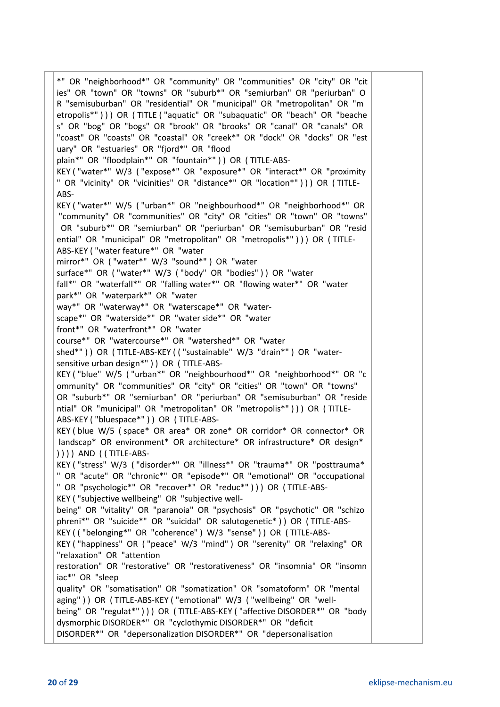| *" OR "neighborhood*" OR "community" OR "communities" OR "city" OR "cit<br>ies" OR "town" OR "towns" OR "suburb*" OR "semiurban" OR "periurban" O<br>R "semisuburban" OR "residential" OR "municipal" OR "metropolitan" OR "m<br>etropolis*"))) OR (TITLE ("aquatic" OR "subaquatic" OR "beach" OR "beache<br>s" OR "bog" OR "bogs" OR "brook" OR "brooks" OR "canal" OR "canals" OR<br>"coast" OR "coasts" OR "coastal" OR "creek*" OR "dock" OR "docks" OR "est<br>uary" OR "estuaries" OR "fjord*" OR "flood<br>plain*" OR "floodplain*" OR "fountain*" ) ) OR (TITLE-ABS- |  |
|-------------------------------------------------------------------------------------------------------------------------------------------------------------------------------------------------------------------------------------------------------------------------------------------------------------------------------------------------------------------------------------------------------------------------------------------------------------------------------------------------------------------------------------------------------------------------------|--|
| KEY ("water*" W/3 ("expose*" OR "exposure*" OR "interact*" OR "proximity<br>" OR "vicinity" OR "vicinities" OR "distance*" OR "location*" ) ) ) OR (TITLE-<br>ABS-                                                                                                                                                                                                                                                                                                                                                                                                            |  |
| KEY ("water*" W/5 ("urban*" OR "neighbourhood*" OR "neighborhood*" OR<br>"community" OR "communities" OR "city" OR "cities" OR "town" OR "towns"<br>OR "suburb*" OR "semiurban" OR "periurban" OR "semisuburban" OR "resid<br>ential" OR "municipal" OR "metropolitan" OR "metropolis*" ) ) ) OR (TITLE-<br>ABS-KEY ("water feature*" OR "water                                                                                                                                                                                                                               |  |
| mirror*" OR ("water*" W/3 "sound*") OR "water                                                                                                                                                                                                                                                                                                                                                                                                                                                                                                                                 |  |
| surface*" OR ("water*" W/3 ("body" OR "bodies")) OR "water                                                                                                                                                                                                                                                                                                                                                                                                                                                                                                                    |  |
| fall*" OR "waterfall*" OR "falling water*" OR "flowing water*" OR "water                                                                                                                                                                                                                                                                                                                                                                                                                                                                                                      |  |
| park*" OR "waterpark*" OR "water                                                                                                                                                                                                                                                                                                                                                                                                                                                                                                                                              |  |
| way*" OR "waterway*" OR "waterscape*" OR "water-                                                                                                                                                                                                                                                                                                                                                                                                                                                                                                                              |  |
| scape*" OR "waterside*" OR "water side*" OR "water                                                                                                                                                                                                                                                                                                                                                                                                                                                                                                                            |  |
| front*" OR "waterfront*" OR "water                                                                                                                                                                                                                                                                                                                                                                                                                                                                                                                                            |  |
| course*" OR "watercourse*" OR "watershed*" OR "water                                                                                                                                                                                                                                                                                                                                                                                                                                                                                                                          |  |
| shed*")) OR (TITLE-ABS-KEY (("sustainable" W/3 "drain*") OR "water-                                                                                                                                                                                                                                                                                                                                                                                                                                                                                                           |  |
| sensitive urban design*" ) ) OR ( TITLE-ABS-                                                                                                                                                                                                                                                                                                                                                                                                                                                                                                                                  |  |
| KEY ("blue" W/5 ("urban*" OR "neighbourhood*" OR "neighborhood*" OR "c<br>ommunity" OR "communities" OR "city" OR "cities" OR "town" OR "towns"<br>OR "suburb*" OR "semiurban" OR "periurban" OR "semisuburban" OR "reside<br>ntial" OR "municipal" OR "metropolitan" OR "metropolis*" ) ) ) OR (TITLE-                                                                                                                                                                                                                                                                       |  |
| ABS-KEY ("bluespace*")) OR (TITLE-ABS-                                                                                                                                                                                                                                                                                                                                                                                                                                                                                                                                        |  |
| KEY (blue W/5 (space* OR area* OR zone* OR corridor* OR connector* OR<br>landscap* OR environment* OR architecture* OR infrastructure* OR design*                                                                                                                                                                                                                                                                                                                                                                                                                             |  |
| ) ) ) ) AND ( ( TITLE-ABS-<br>KEY ("stress" W/3 ("disorder*" OR "illness*" OR "trauma*" OR "posttrauma*                                                                                                                                                                                                                                                                                                                                                                                                                                                                       |  |
| " OR "acute" OR "chronic*" OR "episode*" OR "emotional" OR "occupational<br>" OR "psychologic*" OR "recover*" OR "reduc*" ) ) ) OR (TITLE-ABS-<br>KEY ("subjective wellbeing" OR "subjective well-                                                                                                                                                                                                                                                                                                                                                                            |  |
| being" OR "vitality" OR "paranoia" OR "psychosis" OR "psychotic" OR "schizo                                                                                                                                                                                                                                                                                                                                                                                                                                                                                                   |  |
| phreni*" OR "suicide*" OR "suicidal" OR salutogenetic* ) ) OR (TITLE-ABS-                                                                                                                                                                                                                                                                                                                                                                                                                                                                                                     |  |
| KEY (("belonging*" OR "coherence") W/3 "sense")) OR (TITLE-ABS-                                                                                                                                                                                                                                                                                                                                                                                                                                                                                                               |  |
| KEY ("happiness" OR ("peace" W/3 "mind") OR "serenity" OR "relaxing" OR                                                                                                                                                                                                                                                                                                                                                                                                                                                                                                       |  |
| "relaxation" OR "attention                                                                                                                                                                                                                                                                                                                                                                                                                                                                                                                                                    |  |
| restoration" OR "restorative" OR "restorativeness" OR "insomnia" OR "insomn                                                                                                                                                                                                                                                                                                                                                                                                                                                                                                   |  |
| iac*" OR "sleep                                                                                                                                                                                                                                                                                                                                                                                                                                                                                                                                                               |  |
| quality" OR "somatisation" OR "somatization" OR "somatoform" OR "mental                                                                                                                                                                                                                                                                                                                                                                                                                                                                                                       |  |
| aging")) OR (TITLE-ABS-KEY ("emotional" W/3 ("wellbeing" OR "well-                                                                                                                                                                                                                                                                                                                                                                                                                                                                                                            |  |
| being" OR "regulat*"))) OR (TITLE-ABS-KEY ("affective DISORDER*" OR "body<br>dysmorphic DISORDER*" OR "cyclothymic DISORDER*" OR "deficit                                                                                                                                                                                                                                                                                                                                                                                                                                     |  |
| DISORDER*" OR "depersonalization DISORDER*" OR "depersonalisation                                                                                                                                                                                                                                                                                                                                                                                                                                                                                                             |  |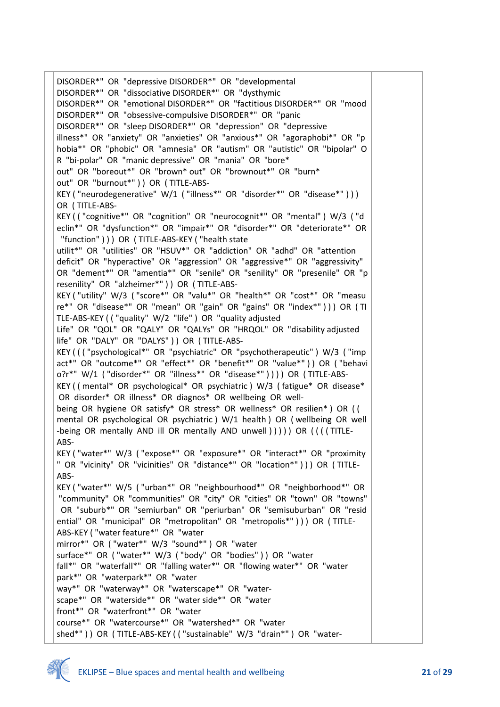| DISORDER*" OR "depressive DISORDER*" OR "developmental<br>DISORDER*" OR "dissociative DISORDER*" OR "dysthymic                                            |  |
|-----------------------------------------------------------------------------------------------------------------------------------------------------------|--|
| DISORDER*" OR "emotional DISORDER*" OR "factitious DISORDER*" OR "mood                                                                                    |  |
| DISORDER*" OR "obsessive-compulsive DISORDER*" OR "panic<br>DISORDER*" OR "sleep DISORDER*" OR "depression" OR "depressive                                |  |
| illness*" OR "anxiety" OR "anxieties" OR "anxious*" OR "agoraphobi*" OR "p                                                                                |  |
| hobia*" OR "phobic" OR "amnesia" OR "autism" OR "autistic" OR "bipolar" O                                                                                 |  |
| R "bi-polar" OR "manic depressive" OR "mania" OR "bore*                                                                                                   |  |
| out" OR "boreout*" OR "brown* out" OR "brownout*" OR "burn*                                                                                               |  |
| out" OR "burnout*" ) ) OR (TITLE-ABS-<br>KEY ("neurodegenerative" W/1 ("illness*" OR "disorder*" OR "disease*")))                                         |  |
| OR (TITLE-ABS-                                                                                                                                            |  |
| KEY (("cognitive*" OR "cognition" OR "neurocognit*" OR "mental") W/3 ("d                                                                                  |  |
| eclin*" OR "dysfunction*" OR "impair*" OR "disorder*" OR "deteriorate*" OR                                                                                |  |
| "function" ) ) ) OR ( TITLE-ABS-KEY ( "health state                                                                                                       |  |
| utilit*" OR "utilities" OR "HSUV*" OR "addiction" OR "adhd" OR "attention                                                                                 |  |
| deficit" OR "hyperactive" OR "aggression" OR "aggressive*" OR "aggressivity"<br>OR "dement*" OR "amentia*" OR "senile" OR "senility" OR "presenile" OR "p |  |
| resenility" OR "alzheimer*" ) ) OR (TITLE-ABS-                                                                                                            |  |
| KEY ("utility" W/3 ("score*" OR "valu*" OR "health*" OR "cost*" OR "measu                                                                                 |  |
| re*" OR "disease*" OR "mean" OR "gain" OR "gains" OR "index*"))) OR (TI                                                                                   |  |
| TLE-ABS-KEY ( ( "quality" W/2 "life" ) OR "quality adjusted                                                                                               |  |
| Life" OR "QOL" OR "QALY" OR "QALYs" OR "HRQOL" OR "disability adjusted                                                                                    |  |
| life" OR "DALY" OR "DALYS" ) ) OR (TITLE-ABS-<br>KEY ((("psychological*" OR "psychiatric" OR "psychotherapeutic") W/3 ("imp                               |  |
| act*" OR "outcome*" OR "effect*" OR "benefit*" OR "value*")) OR ("behavi                                                                                  |  |
| o?r*" W/1 ("disorder*" OR "illness*" OR "disease*")))) OR (TITLE-ABS-                                                                                     |  |
| KEY ((mental* OR psychological* OR psychiatric) W/3 (fatigue* OR disease*                                                                                 |  |
| OR disorder* OR illness* OR diagnos* OR wellbeing OR well-                                                                                                |  |
| being OR hygiene OR satisfy* OR stress* OR wellness* OR resilien*) OR ((                                                                                  |  |
| mental OR psychological OR psychiatric) W/1 health) OR (wellbeing OR well<br>-being OR mentally AND ill OR mentally AND unwell () ) ) ) OR ((((TITLE-     |  |
| ABS-                                                                                                                                                      |  |
| KEY ("water*" W/3 ("expose*" OR "exposure*" OR "interact*" OR "proximity                                                                                  |  |
| " OR "vicinity" OR "vicinities" OR "distance*" OR "location*" ) ) ) OR (TITLE-                                                                            |  |
| ABS-                                                                                                                                                      |  |
| KEY ("water*" W/5 ("urban*" OR "neighbourhood*" OR "neighborhood*" OR<br>"community" OR "communities" OR "city" OR "cities" OR "town" OR "towns"          |  |
| OR "suburb*" OR "semiurban" OR "periurban" OR "semisuburban" OR "resid                                                                                    |  |
| ential" OR "municipal" OR "metropolitan" OR "metropolis*" ) ) ) OR (TITLE-                                                                                |  |
| ABS-KEY ("water feature*" OR "water                                                                                                                       |  |
| mirror*" OR ("water*" W/3 "sound*") OR "water                                                                                                             |  |
| surface*" OR ("water*" W/3 ("body" OR "bodies")) OR "water                                                                                                |  |
| fall*" OR "waterfall*" OR "falling water*" OR "flowing water*" OR "water<br>park*" OR "waterpark*" OR "water                                              |  |
| way*" OR "waterway*" OR "waterscape*" OR "water-                                                                                                          |  |
| scape*" OR "waterside*" OR "water side*" OR "water                                                                                                        |  |
| front*" OR "waterfront*" OR "water                                                                                                                        |  |
| course*" OR "watercourse*" OR "watershed*" OR "water                                                                                                      |  |
| shed*")) OR (TITLE-ABS-KEY (("sustainable" W/3 "drain*") OR "water-                                                                                       |  |

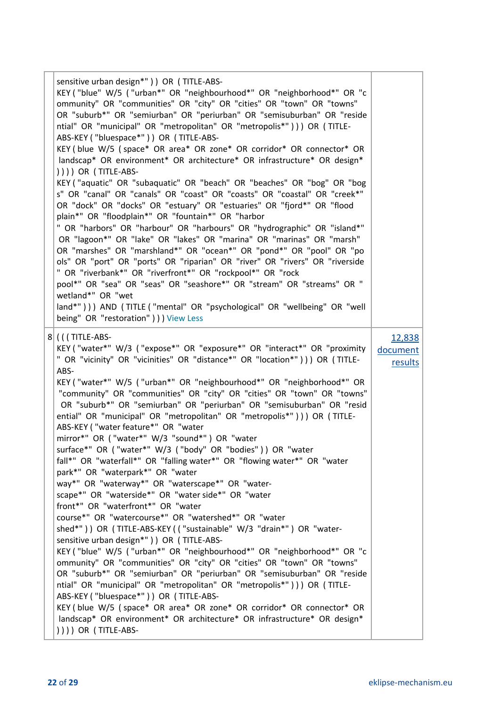| sensitive urban design*" ) ) OR (TITLE-ABS-<br>KEY ("blue" W/5 ("urban*" OR "neighbourhood*" OR "neighborhood*" OR "c<br>ommunity" OR "communities" OR "city" OR "cities" OR "town" OR "towns"<br>OR "suburb*" OR "semiurban" OR "periurban" OR "semisuburban" OR "reside<br>ntial" OR "municipal" OR "metropolitan" OR "metropolis*" ) ) ) OR (TITLE-<br>ABS-KEY ("bluespace*")) OR (TITLE-ABS-<br>KEY (blue W/5 (space* OR area* OR zone* OR corridor* OR connector* OR<br>landscap* OR environment* OR architecture* OR infrastructure* OR design*<br>$( ) )$ ) $)$ OR (TITLE-ABS-<br>KEY ("aquatic" OR "subaquatic" OR "beach" OR "beaches" OR "bog" OR "bog<br>s" OR "canal" OR "canals" OR "coast" OR "coasts" OR "coastal" OR "creek*"<br>OR "dock" OR "docks" OR "estuary" OR "estuaries" OR "fjord*" OR "flood<br>plain*" OR "floodplain*" OR "fountain*" OR "harbor<br>" OR "harbors" OR "harbour" OR "harbours" OR "hydrographic" OR "island*"<br>OR "lagoon*" OR "lake" OR "lakes" OR "marina" OR "marinas" OR "marsh"<br>OR "marshes" OR "marshland*" OR "ocean*" OR "pond*" OR "pool" OR "po<br>ols" OR "port" OR "ports" OR "riparian" OR "river" OR "rivers" OR "riverside<br>" OR "riverbank*" OR "riverfront*" OR "rockpool*" OR "rock<br>pool*" OR "sea" OR "seas" OR "seashore*" OR "stream" OR "streams" OR "<br>wetland*" OR "wet<br>land*"))) AND (TITLE ("mental" OR "psychological" OR "wellbeing" OR "well<br>being" OR "restoration" ) ) ) View Less                                                                                                                                                          |                               |
|------------------------------------------------------------------------------------------------------------------------------------------------------------------------------------------------------------------------------------------------------------------------------------------------------------------------------------------------------------------------------------------------------------------------------------------------------------------------------------------------------------------------------------------------------------------------------------------------------------------------------------------------------------------------------------------------------------------------------------------------------------------------------------------------------------------------------------------------------------------------------------------------------------------------------------------------------------------------------------------------------------------------------------------------------------------------------------------------------------------------------------------------------------------------------------------------------------------------------------------------------------------------------------------------------------------------------------------------------------------------------------------------------------------------------------------------------------------------------------------------------------------------------------------------------------------------------------------------------------------------------------------|-------------------------------|
| 8 (((TITLE-ABS-<br>KEY ("water*" W/3 ("expose*" OR "exposure*" OR "interact*" OR "proximity<br>" OR "vicinity" OR "vicinities" OR "distance*" OR "location*" ) ) ) OR (TITLE-<br>ABS-<br>KEY ("water*" W/5 ("urban*" OR "neighbourhood*" OR "neighborhood*" OR<br>"community" OR "communities" OR "city" OR "cities" OR "town" OR "towns"<br>OR "suburb*" OR "semiurban" OR "periurban" OR "semisuburban" OR "resid<br>ential" OR "municipal" OR "metropolitan" OR "metropolis*" ) ) ) OR (TITLE-<br>ABS-KEY ("water feature*" OR "water<br>mirror*" OR ("water*" W/3 "sound*") OR "water<br>surface*" OR ("water*" W/3 ("body" OR "bodies")) OR "water<br>fall*" OR "waterfall*" OR "falling water*" OR "flowing water*" OR "water<br>park*" OR "waterpark*" OR "water<br>way*" OR "waterway*" OR "waterscape*" OR "water-<br>scape*" OR "waterside*" OR "water side*" OR "water<br>front*" OR "waterfront*" OR "water<br>course*" OR "watercourse*" OR "watershed*" OR "water<br>shed*")) OR (TITLE-ABS-KEY (("sustainable" W/3 "drain*") OR "water-<br>sensitive urban design*" ) ) OR (TITLE-ABS-<br>KEY ("blue" W/5 ("urban*" OR "neighbourhood*" OR "neighborhood*" OR "c<br>ommunity" OR "communities" OR "city" OR "cities" OR "town" OR "towns"<br>OR "suburb*" OR "semiurban" OR "periurban" OR "semisuburban" OR "reside<br>ntial" OR "municipal" OR "metropolitan" OR "metropolis*" ) ) ) OR (TITLE-<br>ABS-KEY ("bluespace*")) OR (TITLE-ABS-<br>KEY (blue W/5 (space* OR area* OR zone* OR corridor* OR connector* OR<br>landscap* OR environment* OR architecture* OR infrastructure* OR design*<br>$))$ ) OR (TITLE-ABS- | 12,838<br>document<br>results |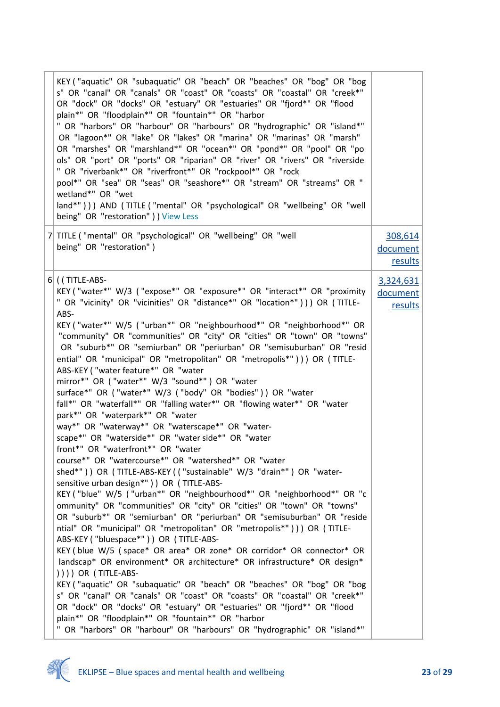| KEY ("aquatic" OR "subaquatic" OR "beach" OR "beaches" OR "bog" OR "bog<br>s" OR "canal" OR "canals" OR "coast" OR "coasts" OR "coastal" OR "creek*"<br>OR "dock" OR "docks" OR "estuary" OR "estuaries" OR "fjord*" OR "flood<br>plain*" OR "floodplain*" OR "fountain*" OR "harbor<br>" OR "harbors" OR "harbour" OR "harbours" OR "hydrographic" OR "island*"<br>OR "lagoon*" OR "lake" OR "lakes" OR "marina" OR "marinas" OR "marsh"<br>OR "marshes" OR "marshland*" OR "ocean*" OR "pond*" OR "pool" OR "po<br>ols" OR "port" OR "ports" OR "riparian" OR "river" OR "rivers" OR "riverside<br>" OR "riverbank*" OR "riverfront*" OR "rockpool*" OR "rock<br>pool*" OR "sea" OR "seas" OR "seashore*" OR "stream" OR "streams" OR "<br>wetland*" OR "wet<br>land*"))) AND (TITLE ("mental" OR "psychological" OR "wellbeing" OR "well<br>being" OR "restoration" ) ) View Less                                                                                                                                                                                                                                                                                                                                                                                                                                                                                                                                                                                                                                                                                                                                                                                                                                                                                                                                                                                                                                                                                                                        |                                  |
|-------------------------------------------------------------------------------------------------------------------------------------------------------------------------------------------------------------------------------------------------------------------------------------------------------------------------------------------------------------------------------------------------------------------------------------------------------------------------------------------------------------------------------------------------------------------------------------------------------------------------------------------------------------------------------------------------------------------------------------------------------------------------------------------------------------------------------------------------------------------------------------------------------------------------------------------------------------------------------------------------------------------------------------------------------------------------------------------------------------------------------------------------------------------------------------------------------------------------------------------------------------------------------------------------------------------------------------------------------------------------------------------------------------------------------------------------------------------------------------------------------------------------------------------------------------------------------------------------------------------------------------------------------------------------------------------------------------------------------------------------------------------------------------------------------------------------------------------------------------------------------------------------------------------------------------------------------------------------------------------------------------|----------------------------------|
| 7 TITLE ("mental" OR "psychological" OR "wellbeing" OR "well<br>being" OR "restoration")                                                                                                                                                                                                                                                                                                                                                                                                                                                                                                                                                                                                                                                                                                                                                                                                                                                                                                                                                                                                                                                                                                                                                                                                                                                                                                                                                                                                                                                                                                                                                                                                                                                                                                                                                                                                                                                                                                                    | 308,614<br>document<br>results   |
| 6 ((TITLE-ABS-<br>KEY ("water*" W/3 ("expose*" OR "exposure*" OR "interact*" OR "proximity<br>" OR "vicinity" OR "vicinities" OR "distance*" OR "location*" ) ) ) OR (TITLE-<br>ABS-<br>KEY ("water*" W/5 ("urban*" OR "neighbourhood*" OR "neighborhood*" OR<br>"community" OR "communities" OR "city" OR "cities" OR "town" OR "towns"<br>OR "suburb*" OR "semiurban" OR "periurban" OR "semisuburban" OR "resid<br>ential" OR "municipal" OR "metropolitan" OR "metropolis*" ) ) ) OR (TITLE-<br>ABS-KEY ("water feature*" OR "water<br>mirror*" OR ("water*" W/3 "sound*") OR "water<br>surface*" OR ("water*" W/3 ("body" OR "bodies")) OR "water<br>fall*" OR "waterfall*" OR "falling water*" OR "flowing water*" OR "water<br>park*" OR "waterpark*" OR "water<br>way*" OR "waterway*" OR "waterscape*" OR "water-<br>scape*" OR "waterside*" OR "water side*" OR "water<br>front*" OR "waterfront*" OR "water<br>course*" OR "watercourse*" OR "watershed*" OR "water<br>shed*")) OR (TITLE-ABS-KEY (("sustainable" W/3 "drain*") OR "water-<br>sensitive urban design*" ) ) OR (TITLE-ABS-<br>KEY ("blue" W/5 ("urban*" OR "neighbourhood*" OR "neighborhood*" OR "c<br>ommunity" OR "communities" OR "city" OR "cities" OR "town" OR "towns"<br>OR "suburb*" OR "semiurban" OR "periurban" OR "semisuburban" OR "reside<br>ntial" OR "municipal" OR "metropolitan" OR "metropolis*" ) ) ) OR (TITLE-<br>ABS-KEY ("bluespace*")) OR (TITLE-ABS-<br>KEY (blue W/5 (space* OR area* OR zone* OR corridor* OR connector* OR<br>landscap* OR environment* OR architecture* OR infrastructure* OR design*<br>$))$ ) OR (TITLE-ABS-<br>KEY ("aquatic" OR "subaquatic" OR "beach" OR "beaches" OR "bog" OR "bog<br>s" OR "canal" OR "canals" OR "coast" OR "coasts" OR "coastal" OR "creek*"<br>OR "dock" OR "docks" OR "estuary" OR "estuaries" OR "fjord*" OR "flood<br>plain*" OR "floodplain*" OR "fountain*" OR "harbor<br>" OR "harbors" OR "harbour" OR "harbours" OR "hydrographic" OR "island*" | 3,324,631<br>document<br>results |

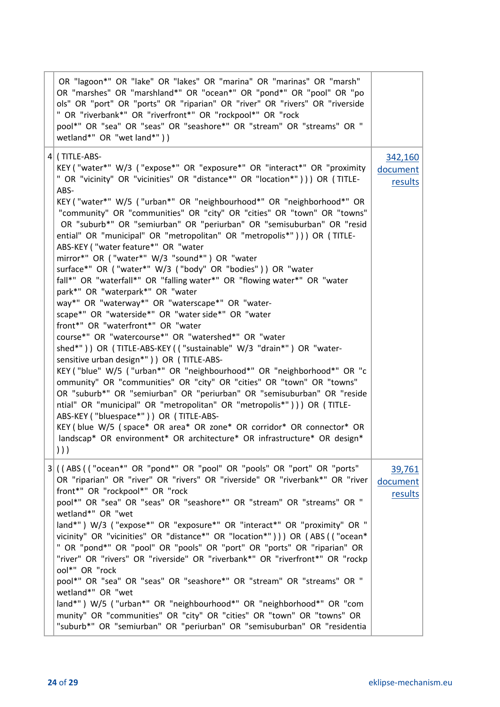| OR "lagoon*" OR "lake" OR "lakes" OR "marina" OR "marinas" OR "marsh"<br>OR "marshes" OR "marshland*" OR "ocean*" OR "pond*" OR "pool" OR "po<br>ols" OR "port" OR "ports" OR "riparian" OR "river" OR "rivers" OR "riverside<br>" OR "riverbank*" OR "riverfront*" OR "rockpool*" OR "rock<br>pool*" OR "sea" OR "seas" OR "seashore*" OR "stream" OR "streams" OR "<br>wetland*" OR "wet land*" ) )                                                                                                                                                                                                                                                                                                                                                                                                                                                                                                                                                                                                                                                                                                                                                                                                                                                                                                                                                                                                                                                                                                                                                                                                               |                                |
|---------------------------------------------------------------------------------------------------------------------------------------------------------------------------------------------------------------------------------------------------------------------------------------------------------------------------------------------------------------------------------------------------------------------------------------------------------------------------------------------------------------------------------------------------------------------------------------------------------------------------------------------------------------------------------------------------------------------------------------------------------------------------------------------------------------------------------------------------------------------------------------------------------------------------------------------------------------------------------------------------------------------------------------------------------------------------------------------------------------------------------------------------------------------------------------------------------------------------------------------------------------------------------------------------------------------------------------------------------------------------------------------------------------------------------------------------------------------------------------------------------------------------------------------------------------------------------------------------------------------|--------------------------------|
| 4 (TITLE-ABS-<br>KEY ("water*" W/3 ("expose*" OR "exposure*" OR "interact*" OR "proximity<br>" OR "vicinity" OR "vicinities" OR "distance*" OR "location*" ) ) ) OR (TITLE-<br>ABS-<br>KEY ("water*" W/5 ("urban*" OR "neighbourhood*" OR "neighborhood*" OR<br>"community" OR "communities" OR "city" OR "cities" OR "town" OR "towns"<br>OR "suburb*" OR "semiurban" OR "periurban" OR "semisuburban" OR "resid<br>ential" OR "municipal" OR "metropolitan" OR "metropolis*" ) ) ) OR (TITLE-<br>ABS-KEY ("water feature*" OR "water<br>mirror*" OR ("water*" W/3 "sound*") OR "water<br>surface*" OR ("water*" W/3 ("body" OR "bodies")) OR "water<br>fall*" OR "waterfall*" OR "falling water*" OR "flowing water*" OR "water<br>park*" OR "waterpark*" OR "water<br>way*" OR "waterway*" OR "waterscape*" OR "water-<br>scape*" OR "waterside*" OR "water side*" OR "water<br>front*" OR "waterfront*" OR "water<br>course*" OR "watercourse*" OR "watershed*" OR "water<br>shed*")) OR (TITLE-ABS-KEY (("sustainable" W/3 "drain*") OR "water-<br>sensitive urban design*" ) ) OR (TITLE-ABS-<br>KEY ("blue" W/5 ("urban*" OR "neighbourhood*" OR "neighborhood*" OR "c<br>ommunity" OR "communities" OR "city" OR "cities" OR "town" OR "towns"<br>OR "suburb*" OR "semiurban" OR "periurban" OR "semisuburban" OR "reside<br>ntial" OR "municipal" OR "metropolitan" OR "metropolis*" ) ) ) OR (TITLE-<br>ABS-KEY ("bluespace*")) OR (TITLE-ABS-<br>KEY (blue W/5 (space* OR area* OR zone* OR corridor* OR connector* OR<br>landscap* OR environment* OR architecture* OR infrastructure* OR design*<br>)) | 342,160<br>document<br>results |
| 3 ((ABS (("ocean*" OR "pond*" OR "pool" OR "pools" OR "port" OR "ports"<br>OR "riparian" OR "river" OR "rivers" OR "riverside" OR "riverbank*" OR "river<br>front*" OR "rockpool*" OR "rock<br>pool*" OR "sea" OR "seas" OR "seashore*" OR "stream" OR "streams" OR "<br>wetland*" OR "wet<br>land*") W/3 ("expose*" OR "exposure*" OR "interact*" OR "proximity" OR "<br>vicinity" OR "vicinities" OR "distance*" OR "location*" ) ) ) OR (ABS ( ( "ocean*<br>" OR "pond*" OR "pool" OR "pools" OR "port" OR "ports" OR "riparian" OR<br>"river" OR "rivers" OR "riverside" OR "riverbank*" OR "riverfront*" OR "rockp<br>ool*" OR "rock<br>pool*" OR "sea" OR "seas" OR "seashore*" OR "stream" OR "streams" OR "<br>wetland*" OR "wet<br>land*") W/5 ("urban*" OR "neighbourhood*" OR "neighborhood*" OR "com<br>munity" OR "communities" OR "city" OR "cities" OR "town" OR "towns" OR<br>"suburb*" OR "semiurban" OR "periurban" OR "semisuburban" OR "residentia                                                                                                                                                                                                                                                                                                                                                                                                                                                                                                                                                                                                                                              | 39,761<br>document<br>results  |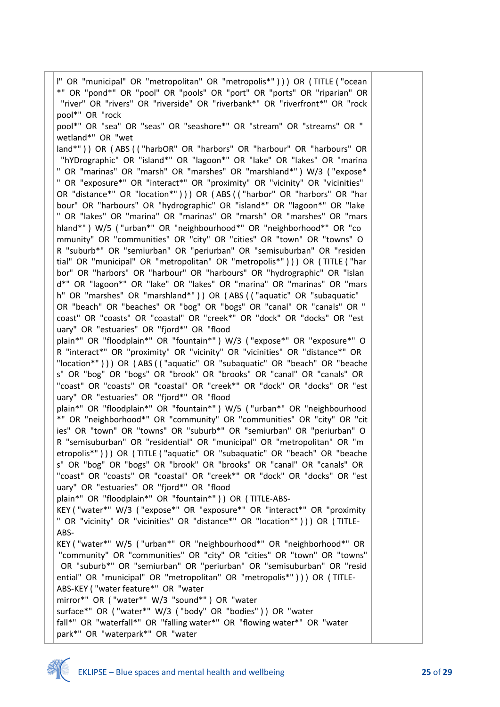- EKLIPSE Blue spaces and mental health and wellbeing **25** of 29
- pool\*" OR "rock pool\*" OR "sea" OR "seas" OR "seashore\*" OR "stream" OR "streams" OR " wetland\*" OR "wet land\*" ) ) OR (ABS ( ("harbOR" OR "harbors" OR "harbour" OR "harbours" OR "hYDrographic" OR "island\*" OR "lagoon\*" OR "lake" OR "lakes" OR "marina " OR "marinas" OR "marsh" OR "marshes" OR "marshland\*" ) W/3 ( "expose\* " OR "exposure\*" OR "interact\*" OR "proximity" OR "vicinity" OR "vicinities" OR "distance\*" OR "location\*" ) ) ) OR (ABS ( ( "harbor" OR "harbors" OR "har bour" OR "harbours" OR "hydrographic" OR "island\*" OR "lagoon\*" OR "lake " OR "lakes" OR "marina" OR "marinas" OR "marsh" OR "marshes" OR "mars hland\*") W/5 ("urban\*" OR "neighbourhood\*" OR "neighborhood\*" OR "co mmunity" OR "communities" OR "city" OR "cities" OR "town" OR "towns" O R "suburb\*" OR "semiurban" OR "periurban" OR "semisuburban" OR "residen tial" OR "municipal" OR "metropolitan" OR "metropolis\*" ) ) ) OR ( TITLE ( "har bor" OR "harbors" OR "harbour" OR "harbours" OR "hydrographic" OR "islan d\*" OR "lagoon\*" OR "lake" OR "lakes" OR "marina" OR "marinas" OR "mars h" OR "marshes" OR "marshland\*" ) ) OR (ABS (("aquatic" OR "subaquatic" OR "beach" OR "beaches" OR "bog" OR "bogs" OR "canal" OR "canals" OR " coast" OR "coasts" OR "coastal" OR "creek\*" OR "dock" OR "docks" OR "est uary" OR "estuaries" OR "fjord\*" OR "flood plain\*" OR "floodplain\*" OR "fountain\*" ) W/3 ( "expose\*" OR "exposure\*" O R "interact\*" OR "proximity" OR "vicinity" OR "vicinities" OR "distance\*" OR "location\*" ) ) ) OR ( ABS ( ( "aquatic" OR "subaquatic" OR "beach" OR "beache s" OR "bog" OR "bogs" OR "brook" OR "brooks" OR "canal" OR "canals" OR "coast" OR "coasts" OR "coastal" OR "creek\*" OR "dock" OR "docks" OR "est uary" OR "estuaries" OR "fjord\*" OR "flood plain\*" OR "floodplain\*" OR "fountain\*" ) W/5 ( "urban\*" OR "neighbourhood \*" OR "neighborhood\*" OR "community" OR "communities" OR "city" OR "cit ies" OR "town" OR "towns" OR "suburb\*" OR "semiurban" OR "periurban" O R "semisuburban" OR "residential" OR "municipal" OR "metropolitan" OR "m etropolis\*" ) ) ) OR ( TITLE ( "aquatic" OR "subaquatic" OR "beach" OR "beache s" OR "bog" OR "bogs" OR "brook" OR "brooks" OR "canal" OR "canals" OR "coast" OR "coasts" OR "coastal" OR "creek\*" OR "dock" OR "docks" OR "est uary" OR "estuaries" OR "fjord\*" OR "flood plain\*" OR "floodplain\*" OR "fountain\*" ) ) OR ( TITLE-ABS-KEY ( "water\*" W/3 ( "expose\*" OR "exposure\*" OR "interact\*" OR "proximity " OR "vicinity" OR "vicinities" OR "distance\*" OR "location\*" ) ) ) OR ( TITLE-ABS-KEY ( "water\*" W/5 ( "urban\*" OR "neighbourhood\*" OR "neighborhood\*" OR "community" OR "communities" OR "city" OR "cities" OR "town" OR "towns" OR "suburb\*" OR "semiurban" OR "periurban" OR "semisuburban" OR "resid ential" OR "municipal" OR "metropolitan" OR "metropolis\*" ) ) ) OR (TITLE-ABS-KEY ( "water feature\*" OR "water mirror\*" OR ( "water\*" W/3 "sound\*" ) OR "water surface\*" OR ( "water\*" W/3 ( "body" OR "bodies" ) ) OR "water fall\*" OR "waterfall\*" OR "falling water\*" OR "flowing water\*" OR "water park\*" OR "waterpark\*" OR "water

l" OR "municipal" OR "metropolitan" OR "metropolis\*" ) ) ) OR ( TITLE ( "ocean \*" OR "pond\*" OR "pool" OR "pools" OR "port" OR "ports" OR "riparian" OR "river" OR "rivers" OR "riverside" OR "riverbank\*" OR "riverfront\*" OR "rock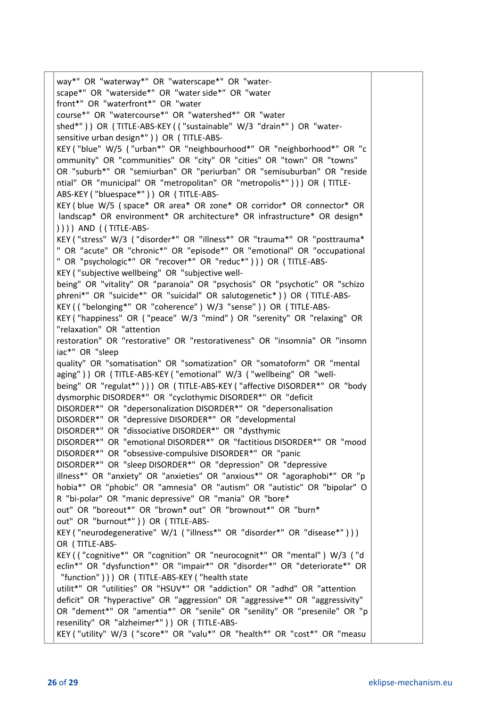| way*" OR "waterway*" OR "waterscape*" OR "water-                             |  |
|------------------------------------------------------------------------------|--|
| scape*" OR "waterside*" OR "water side*" OR "water                           |  |
| front*" OR "waterfront*" OR "water                                           |  |
| course*" OR "watercourse*" OR "watershed*" OR "water                         |  |
| shed*")) OR (TITLE-ABS-KEY (("sustainable" W/3 "drain*") OR "water-          |  |
|                                                                              |  |
| sensitive urban design*" ) ) OR (TITLE-ABS-                                  |  |
| KEY ("blue" W/5 ("urban*" OR "neighbourhood*" OR "neighborhood*" OR "c       |  |
| ommunity" OR "communities" OR "city" OR "cities" OR "town" OR "towns"        |  |
| OR "suburb*" OR "semiurban" OR "periurban" OR "semisuburban" OR "reside      |  |
| ntial" OR "municipal" OR "metropolitan" OR "metropolis*" ) ) ) OR (TITLE-    |  |
| ABS-KEY ("bluespace*")) OR (TITLE-ABS-                                       |  |
| KEY (blue W/5 (space* OR area* OR zone* OR corridor* OR connector* OR        |  |
| landscap* OR environment* OR architecture* OR infrastructure* OR design*     |  |
| ) ) ) ) AND ( (TITLE-ABS-                                                    |  |
| KEY ("stress" W/3 ("disorder*" OR "illness*" OR "trauma*" OR "posttrauma*    |  |
| " OR "acute" OR "chronic*" OR "episode*" OR "emotional" OR "occupational     |  |
| " OR "psychologic*" OR "recover*" OR "reduc*" ) ) OR (TITLE-ABS-             |  |
| KEY ("subjective wellbeing" OR "subjective well-                             |  |
| being" OR "vitality" OR "paranoia" OR "psychosis" OR "psychotic" OR "schizo  |  |
| phreni*" OR "suicide*" OR "suicidal" OR salutogenetic*)) OR (TITLE-ABS-      |  |
| KEY (("belonging*" OR "coherence") W/3 "sense")) OR (TITLE-ABS-              |  |
| KEY ("happiness" OR ("peace" W/3 "mind") OR "serenity" OR "relaxing" OR      |  |
| "relaxation" OR "attention                                                   |  |
| restoration" OR "restorative" OR "restorativeness" OR "insomnia" OR "insomn  |  |
| iac*" OR "sleep                                                              |  |
| quality" OR "somatisation" OR "somatization" OR "somatoform" OR "mental      |  |
| aging")) OR (TITLE-ABS-KEY ("emotional" W/3 ("wellbeing" OR "well-           |  |
| being" OR "regulat*"))) OR (TITLE-ABS-KEY ("affective DISORDER*" OR "body    |  |
| dysmorphic DISORDER*" OR "cyclothymic DISORDER*" OR "deficit                 |  |
| DISORDER*" OR "depersonalization DISORDER*" OR "depersonalisation            |  |
| DISORDER*" OR "depressive DISORDER*" OR "developmental                       |  |
| DISORDER*" OR "dissociative DISORDER*" OR "dysthymic                         |  |
| DISORDER*" OR "emotional DISORDER*" OR "factitious DISORDER*" OR "mood       |  |
| DISORDER*" OR "obsessive-compulsive DISORDER*" OR "panic                     |  |
| DISORDER*" OR "sleep DISORDER*" OR "depression" OR "depressive               |  |
| illness*" OR "anxiety" OR "anxieties" OR "anxious*" OR "agoraphobi*" OR "p   |  |
| hobia*" OR "phobic" OR "amnesia" OR "autism" OR "autistic" OR "bipolar" O    |  |
| R "bi-polar" OR "manic depressive" OR "mania" OR "bore*                      |  |
| out" OR "boreout*" OR "brown* out" OR "brownout*" OR "burn*                  |  |
| out" OR "burnout*" ) ) OR (TITLE-ABS-                                        |  |
| KEY ("neurodegenerative" W/1 ("illness*" OR "disorder*" OR "disease*")))     |  |
| OR (TITLE-ABS-                                                               |  |
| KEY (("cognitive*" OR "cognition" OR "neurocognit*" OR "mental") W/3 ("d     |  |
| eclin*" OR "dysfunction*" OR "impair*" OR "disorder*" OR "deteriorate*" OR   |  |
| "function"))) OR (TITLE-ABS-KEY ("health state                               |  |
| utilit*" OR "utilities" OR "HSUV*" OR "addiction" OR "adhd" OR "attention    |  |
| deficit" OR "hyperactive" OR "aggression" OR "aggressive*" OR "aggressivity" |  |
| OR "dement*" OR "amentia*" OR "senile" OR "senility" OR "presenile" OR "p    |  |
| resenility" OR "alzheimer*" ) ) OR (TITLE-ABS-                               |  |
| KEY ("utility" W/3 ("score*" OR "valu*" OR "health*" OR "cost*" OR "measu    |  |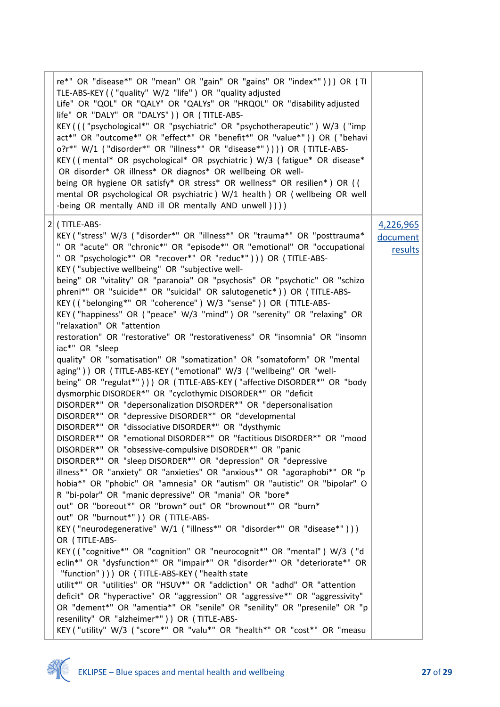| re*" OR "disease*" OR "mean" OR "gain" OR "gains" OR "index*"))) OR (TI<br>TLE-ABS-KEY (("quality" W/2 "life") OR "quality adjusted<br>Life" OR "QOL" OR "QALY" OR "QALYs" OR "HRQOL" OR "disability adjusted<br>life" OR "DALY" OR "DALYS" ) ) OR (TITLE-ABS-<br>KEY ((("psychological*" OR "psychiatric" OR "psychotherapeutic") W/3 ("imp<br>act*" OR "outcome*" OR "effect*" OR "benefit*" OR "value*")) OR ("behavi<br>o?r*" W/1 ("disorder*" OR "illness*" OR "disease*")))) OR (TITLE-ABS-<br>KEY ((mental* OR psychological* OR psychiatric) W/3 (fatigue* OR disease*<br>OR disorder* OR illness* OR diagnos* OR wellbeing OR well-<br>being OR hygiene OR satisfy* OR stress* OR wellness* OR resilien*) OR ((<br>mental OR psychological OR psychiatric) W/1 health) OR (wellbeing OR well<br>-being OR mentally AND ill OR mentally AND unwell () () ()                                                                                                                                                                                                                                                                                                                                                                                                                                                                                                                                                                                                                                                                                                                                                                                                                                                                                                                                                                                                                                                                                                                                                                                                                                                                                                                                                                                                                                                                                                                                                                                         |                                  |
|-------------------------------------------------------------------------------------------------------------------------------------------------------------------------------------------------------------------------------------------------------------------------------------------------------------------------------------------------------------------------------------------------------------------------------------------------------------------------------------------------------------------------------------------------------------------------------------------------------------------------------------------------------------------------------------------------------------------------------------------------------------------------------------------------------------------------------------------------------------------------------------------------------------------------------------------------------------------------------------------------------------------------------------------------------------------------------------------------------------------------------------------------------------------------------------------------------------------------------------------------------------------------------------------------------------------------------------------------------------------------------------------------------------------------------------------------------------------------------------------------------------------------------------------------------------------------------------------------------------------------------------------------------------------------------------------------------------------------------------------------------------------------------------------------------------------------------------------------------------------------------------------------------------------------------------------------------------------------------------------------------------------------------------------------------------------------------------------------------------------------------------------------------------------------------------------------------------------------------------------------------------------------------------------------------------------------------------------------------------------------------------------------------------------------------------------------------------|----------------------------------|
| 2 (TITLE-ABS-<br>KEY ("stress" W/3 ("disorder*" OR "illness*" OR "trauma*" OR "posttrauma*<br>" OR "acute" OR "chronic*" OR "episode*" OR "emotional" OR "occupational<br>" OR "psychologic*" OR "recover*" OR "reduc*" ) ) ) OR (TITLE-ABS-<br>KEY ("subjective wellbeing" OR "subjective well-<br>being" OR "vitality" OR "paranoia" OR "psychosis" OR "psychotic" OR "schizo<br>phreni*" OR "suicide*" OR "suicidal" OR salutogenetic*)) OR (TITLE-ABS-<br>KEY (("belonging*" OR "coherence") W/3 "sense")) OR (TITLE-ABS-<br>KEY ("happiness" OR ("peace" W/3 "mind") OR "serenity" OR "relaxing" OR<br>"relaxation" OR "attention<br>restoration" OR "restorative" OR "restorativeness" OR "insomnia" OR "insomn<br>iac*" OR "sleep<br>quality" OR "somatisation" OR "somatization" OR "somatoform" OR "mental<br>aging")) OR (TITLE-ABS-KEY ("emotional" W/3 ("wellbeing" OR "well-<br>being" OR "regulat*"))) OR (TITLE-ABS-KEY ("affective DISORDER*" OR "body<br>dysmorphic DISORDER*" OR "cyclothymic DISORDER*" OR "deficit<br>DISORDER*" OR "depersonalization DISORDER*" OR "depersonalisation<br>DISORDER*" OR "depressive DISORDER*" OR "developmental<br>DISORDER*" OR "dissociative DISORDER*" OR "dysthymic<br>DISORDER*" OR "emotional DISORDER*" OR "factitious DISORDER*" OR "mood<br>DISORDER*" OR "obsessive-compulsive DISORDER*" OR "panic<br>DISORDER*" OR "sleep DISORDER*" OR "depression" OR "depressive<br>illness*" OR "anxiety" OR "anxieties" OR "anxious*" OR "agoraphobi*" OR "p<br>hobia*" OR "phobic" OR "amnesia" OR "autism" OR "autistic" OR "bipolar" O<br>R "bi-polar" OR "manic depressive" OR "mania" OR "bore*<br>out" OR "boreout*" OR "brown* out" OR "brownout*" OR "burn*<br>out" OR "burnout*" ) ) OR (TITLE-ABS-<br>KEY ("neurodegenerative" W/1 ("illness*" OR "disorder*" OR "disease*")))<br>OR (TITLE-ABS-<br>KEY (("cognitive*" OR "cognition" OR "neurocognit*" OR "mental") W/3 ("d<br>eclin*" OR "dysfunction*" OR "impair*" OR "disorder*" OR "deteriorate*" OR<br>"function" ) ) ) OR ( TITLE-ABS-KEY ( "health state<br>utilit*" OR "utilities" OR "HSUV*" OR "addiction" OR "adhd" OR "attention<br>deficit" OR "hyperactive" OR "aggression" OR "aggressive*" OR "aggressivity"<br>OR "dement*" OR "amentia*" OR "senile" OR "senility" OR "presenile" OR "p<br>resenility" OR "alzheimer*" ) ) OR (TITLE-ABS-<br>KEY ("utility" W/3 ("score*" OR "valu*" OR "health*" OR "cost*" OR "measu | 4,226,965<br>document<br>results |

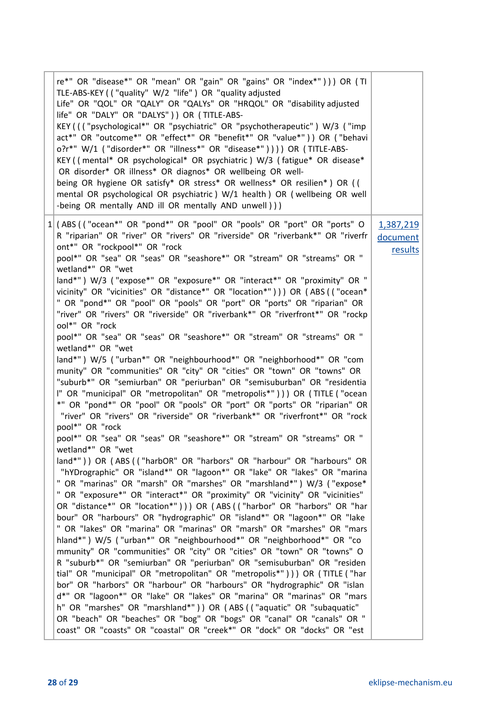| ۰. | ٧ | ۰, |
|----|---|----|
|----|---|----|

| re*" OR "disease*" OR "mean" OR "gain" OR "gains" OR "index*"))) OR (TI<br>TLE-ABS-KEY (("quality" W/2 "life") OR "quality adjusted<br>Life" OR "QOL" OR "QALY" OR "QALYs" OR "HRQOL" OR "disability adjusted<br>life" OR "DALY" OR "DALYS" ) ) OR (TITLE-ABS-<br>KEY ((("psychological*" OR "psychiatric" OR "psychotherapeutic") W/3 ("imp<br>act*" OR "outcome*" OR "effect*" OR "benefit*" OR "value*" ) ) OR ("behavi<br>o?r*" W/1 ("disorder*" OR "illness*" OR "disease*")))) OR (TITLE-ABS-<br>KEY ((mental* OR psychological* OR psychiatric) W/3 (fatigue* OR disease*<br>OR disorder* OR illness* OR diagnos* OR wellbeing OR well-<br>being OR hygiene OR satisfy* OR stress* OR wellness* OR resilien*) OR ((<br>mental OR psychological OR psychiatric) W/1 health) OR (wellbeing OR well<br>-being OR mentally AND ill OR mentally AND unwell ) ) )<br>1 (ABS (("ocean*" OR "pond*" OR "pool" OR "pools" OR "port" OR "ports" O<br>1,387,219<br>R "riparian" OR "river" OR "rivers" OR "riverside" OR "riverbank*" OR "riverfr<br>document<br>ont*" OR "rockpool*" OR "rock<br>results<br>pool*" OR "sea" OR "seas" OR "seashore*" OR "stream" OR "streams" OR "<br>wetland*" OR "wet<br>land*") W/3 ("expose*" OR "exposure*" OR "interact*" OR "proximity" OR "<br>vicinity" OR "vicinities" OR "distance*" OR "location*" ) ) ) OR (ABS (("ocean*<br>" OR "pond*" OR "pool" OR "pools" OR "port" OR "ports" OR "riparian" OR<br>"river" OR "rivers" OR "riverside" OR "riverbank*" OR "riverfront*" OR "rockp<br>ool*" OR "rock<br>pool*" OR "sea" OR "seas" OR "seashore*" OR "stream" OR "streams" OR "<br>wetland*" OR "wet<br>land*") W/5 ("urban*" OR "neighbourhood*" OR "neighborhood*" OR "com<br>munity" OR "communities" OR "city" OR "cities" OR "town" OR "towns" OR<br>"suburb*" OR "semiurban" OR "periurban" OR "semisuburban" OR "residentia<br>I" OR "municipal" OR "metropolitan" OR "metropolis*" ) ) ) OR (TITLE ("ocean<br>*" OR "pond*" OR "pool" OR "pools" OR "port" OR "ports" OR "riparian" OR<br>"river" OR "rivers" OR "riverside" OR "riverbank*" OR "riverfront*" OR "rock<br>pool*" OR "rock<br>pool*" OR "sea" OR "seas" OR "seashore*" OR "stream" OR "streams" OR "<br>wetland*" OR "wet<br>land*")) OR (ABS (("harbOR" OR "harbors" OR "harbour" OR "harbours" OR<br>"hYDrographic" OR "island*" OR "lagoon*" OR "lake" OR "lakes" OR "marina<br>" OR "marinas" OR "marsh" OR "marshes" OR "marshland*" ) W/3 ("expose*<br>" OR "exposure*" OR "interact*" OR "proximity" OR "vicinity" OR "vicinities"<br>OR "distance*" OR "location*" ) ) OR (ABS (("harbor" OR "harbors" OR "har<br>bour" OR "harbours" OR "hydrographic" OR "island*" OR "lagoon*" OR "lake<br>" OR "lakes" OR "marina" OR "marinas" OR "marsh" OR "marshes" OR "mars<br>hland*") W/5 ("urban*" OR "neighbourhood*" OR "neighborhood*" OR "co<br>mmunity" OR "communities" OR "city" OR "cities" OR "town" OR "towns" O<br>R "suburb*" OR "semiurban" OR "periurban" OR "semisuburban" OR "residen<br>tial" OR "municipal" OR "metropolitan" OR "metropolis*" ) ) OR (TITLE ("har<br>bor" OR "harbors" OR "harbour" OR "harbours" OR "hydrographic" OR "islan<br>d*" OR "lagoon*" OR "lake" OR "lakes" OR "marina" OR "marinas" OR "mars<br>h" OR "marshes" OR "marshland*")) OR (ABS (("aquatic" OR "subaquatic"<br>OR "beach" OR "beaches" OR "bog" OR "bogs" OR "canal" OR "canals" OR " |                                                                          |  |
|-----------------------------------------------------------------------------------------------------------------------------------------------------------------------------------------------------------------------------------------------------------------------------------------------------------------------------------------------------------------------------------------------------------------------------------------------------------------------------------------------------------------------------------------------------------------------------------------------------------------------------------------------------------------------------------------------------------------------------------------------------------------------------------------------------------------------------------------------------------------------------------------------------------------------------------------------------------------------------------------------------------------------------------------------------------------------------------------------------------------------------------------------------------------------------------------------------------------------------------------------------------------------------------------------------------------------------------------------------------------------------------------------------------------------------------------------------------------------------------------------------------------------------------------------------------------------------------------------------------------------------------------------------------------------------------------------------------------------------------------------------------------------------------------------------------------------------------------------------------------------------------------------------------------------------------------------------------------------------------------------------------------------------------------------------------------------------------------------------------------------------------------------------------------------------------------------------------------------------------------------------------------------------------------------------------------------------------------------------------------------------------------------------------------------------------------------------------------------------------------------------------------------------------------------------------------------------------------------------------------------------------------------------------------------------------------------------------------------------------------------------------------------------------------------------------------------------------------------------------------------------------------------------------------------------------------------------------------------------------------------------------------------------------------------------------------------------------------------------------------------------------------------------------------------------------------------------------------------------------------------------------------------------------------------------------------------------------------------------------------------------------------------------------------------|--------------------------------------------------------------------------|--|
|                                                                                                                                                                                                                                                                                                                                                                                                                                                                                                                                                                                                                                                                                                                                                                                                                                                                                                                                                                                                                                                                                                                                                                                                                                                                                                                                                                                                                                                                                                                                                                                                                                                                                                                                                                                                                                                                                                                                                                                                                                                                                                                                                                                                                                                                                                                                                                                                                                                                                                                                                                                                                                                                                                                                                                                                                                                                                                                                                                                                                                                                                                                                                                                                                                                                                                                                                                                                                       |                                                                          |  |
|                                                                                                                                                                                                                                                                                                                                                                                                                                                                                                                                                                                                                                                                                                                                                                                                                                                                                                                                                                                                                                                                                                                                                                                                                                                                                                                                                                                                                                                                                                                                                                                                                                                                                                                                                                                                                                                                                                                                                                                                                                                                                                                                                                                                                                                                                                                                                                                                                                                                                                                                                                                                                                                                                                                                                                                                                                                                                                                                                                                                                                                                                                                                                                                                                                                                                                                                                                                                                       | coast" OR "coasts" OR "coastal" OR "creek*" OR "dock" OR "docks" OR "est |  |